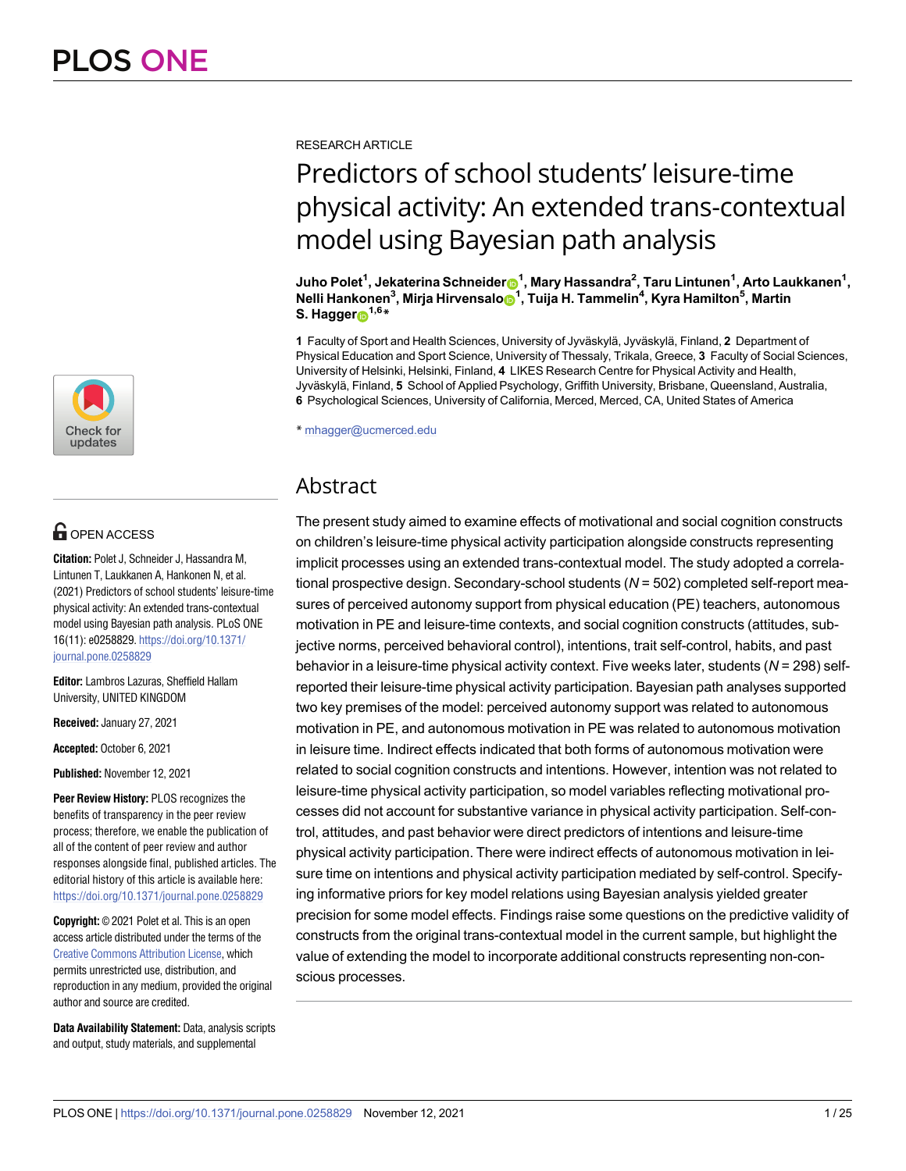

# **OPEN ACCESS**

**Citation:** Polet J, Schneider J, Hassandra M, Lintunen T, Laukkanen A, Hankonen N, et al. (2021) Predictors of school students' leisure-time physical activity: An extended trans-contextual model using Bayesian path analysis. PLoS ONE 16(11): e0258829. [https://doi.org/10.1371/](https://doi.org/10.1371/journal.pone.0258829) [journal.pone.0258829](https://doi.org/10.1371/journal.pone.0258829)

**Editor:** Lambros Lazuras, Sheffield Hallam University, UNITED KINGDOM

**Received:** January 27, 2021

**Accepted:** October 6, 2021

**Published:** November 12, 2021

**Peer Review History:** PLOS recognizes the benefits of transparency in the peer review process; therefore, we enable the publication of all of the content of peer review and author responses alongside final, published articles. The editorial history of this article is available here: <https://doi.org/10.1371/journal.pone.0258829>

**Copyright:** © 2021 Polet et al. This is an open access article distributed under the terms of the [Creative Commons Attribution License,](http://creativecommons.org/licenses/by/4.0/) which permits unrestricted use, distribution, and reproduction in any medium, provided the original author and source are credited.

**Data Availability Statement:** Data, analysis scripts and output, study materials, and supplemental

RESEARCH ARTICLE

# Predictors of school students' leisure-time physical activity: An extended trans-contextual model using Bayesian path analysis

 $\bm{J}$ uho Polet $^1$ , Jekaterina Schneider $\bm{\Theta}^1$ , Mary Hassandra $^2$ , Taru Lintunen $^1$ , Arto Laukkanen $^1$ ,  $\mathsf{Nelli}$  Hankonen<sup>3</sup>, Mirja Hirvensalo $\mathsf{O}^1$ , Tuija H. Tammelin<sup>4</sup>, Kyra Hamilton<sup>5</sup>, Martin **S. Hagger**<sup>1,6</sup>**\*** 

**1** Faculty of Sport and Health Sciences, University of Jyväskylä, Jyväskylä, Finland, 2 Department of Physical Education and Sport Science, University of Thessaly, Trikala, Greece, **3** Faculty of Social Sciences, University of Helsinki, Helsinki, Finland, **4** LIKES Research Centre for Physical Activity and Health, Jyväskylä, Finland, 5 School of Applied Psychology, Griffith University, Brisbane, Queensland, Australia, **6** Psychological Sciences, University of California, Merced, Merced, CA, United States of America

\* mhagger@ucmerced.edu

# Abstract

The present study aimed to examine effects of motivational and social cognition constructs on children's leisure-time physical activity participation alongside constructs representing implicit processes using an extended trans-contextual model. The study adopted a correlational prospective design. Secondary-school students (*N* = 502) completed self-report measures of perceived autonomy support from physical education (PE) teachers, autonomous motivation in PE and leisure-time contexts, and social cognition constructs (attitudes, subjective norms, perceived behavioral control), intentions, trait self-control, habits, and past behavior in a leisure-time physical activity context. Five weeks later, students (*N* = 298) selfreported their leisure-time physical activity participation. Bayesian path analyses supported two key premises of the model: perceived autonomy support was related to autonomous motivation in PE, and autonomous motivation in PE was related to autonomous motivation in leisure time. Indirect effects indicated that both forms of autonomous motivation were related to social cognition constructs and intentions. However, intention was not related to leisure-time physical activity participation, so model variables reflecting motivational processes did not account for substantive variance in physical activity participation. Self-control, attitudes, and past behavior were direct predictors of intentions and leisure-time physical activity participation. There were indirect effects of autonomous motivation in leisure time on intentions and physical activity participation mediated by self-control. Specifying informative priors for key model relations using Bayesian analysis yielded greater precision for some model effects. Findings raise some questions on the predictive validity of constructs from the original trans-contextual model in the current sample, but highlight the value of extending the model to incorporate additional constructs representing non-conscious processes.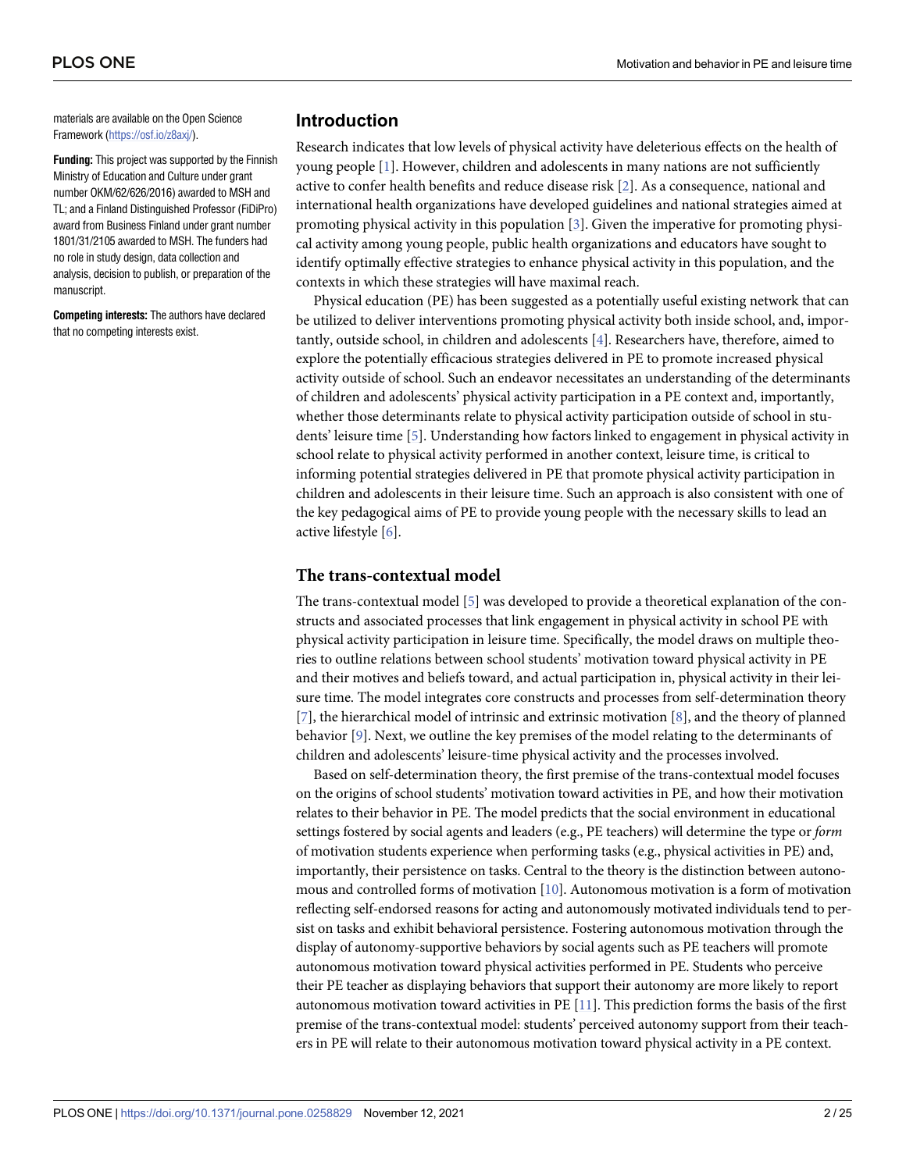<span id="page-1-0"></span>materials are available on the Open Science Framework ([https://osf.io/z8axj/\)](https://osf.io/z8axj/).

**Funding:** This project was supported by the Finnish Ministry of Education and Culture under grant number OKM/62/626/2016) awarded to MSH and TL; and a Finland Distinguished Professor (FiDiPro) award from Business Finland under grant number 1801/31/2105 awarded to MSH. The funders had no role in study design, data collection and analysis, decision to publish, or preparation of the manuscript.

**Competing interests:** The authors have declared that no competing interests exist.

# **Introduction**

Research indicates that low levels of physical activity have deleterious effects on the health of young people [\[1\]](#page-20-0). However, children and adolescents in many nations are not sufficiently active to confer health benefits and reduce disease risk [[2](#page-20-0)]. As a consequence, national and international health organizations have developed guidelines and national strategies aimed at promoting physical activity in this population [\[3](#page-20-0)]. Given the imperative for promoting physical activity among young people, public health organizations and educators have sought to identify optimally effective strategies to enhance physical activity in this population, and the contexts in which these strategies will have maximal reach.

Physical education (PE) has been suggested as a potentially useful existing network that can be utilized to deliver interventions promoting physical activity both inside school, and, importantly, outside school, in children and adolescents [\[4\]](#page-20-0). Researchers have, therefore, aimed to explore the potentially efficacious strategies delivered in PE to promote increased physical activity outside of school. Such an endeavor necessitates an understanding of the determinants of children and adolescents' physical activity participation in a PE context and, importantly, whether those determinants relate to physical activity participation outside of school in students' leisure time [\[5\]](#page-20-0). Understanding how factors linked to engagement in physical activity in school relate to physical activity performed in another context, leisure time, is critical to informing potential strategies delivered in PE that promote physical activity participation in children and adolescents in their leisure time. Such an approach is also consistent with one of the key pedagogical aims of PE to provide young people with the necessary skills to lead an active lifestyle [[6\]](#page-20-0).

### **The trans-contextual model**

The trans-contextual model [\[5\]](#page-20-0) was developed to provide a theoretical explanation of the constructs and associated processes that link engagement in physical activity in school PE with physical activity participation in leisure time. Specifically, the model draws on multiple theories to outline relations between school students' motivation toward physical activity in PE and their motives and beliefs toward, and actual participation in, physical activity in their leisure time. The model integrates core constructs and processes from self-determination theory [\[7](#page-20-0)], the hierarchical model of intrinsic and extrinsic motivation [[8\]](#page-20-0), and the theory of planned behavior [[9](#page-20-0)]. Next, we outline the key premises of the model relating to the determinants of children and adolescents' leisure-time physical activity and the processes involved.

Based on self-determination theory, the first premise of the trans-contextual model focuses on the origins of school students' motivation toward activities in PE, and how their motivation relates to their behavior in PE. The model predicts that the social environment in educational settings fostered by social agents and leaders (e.g., PE teachers) will determine the type or *form* of motivation students experience when performing tasks (e.g., physical activities in PE) and, importantly, their persistence on tasks. Central to the theory is the distinction between autonomous and controlled forms of motivation [\[10\]](#page-20-0). Autonomous motivation is a form of motivation reflecting self-endorsed reasons for acting and autonomously motivated individuals tend to persist on tasks and exhibit behavioral persistence. Fostering autonomous motivation through the display of autonomy-supportive behaviors by social agents such as PE teachers will promote autonomous motivation toward physical activities performed in PE. Students who perceive their PE teacher as displaying behaviors that support their autonomy are more likely to report autonomous motivation toward activities in PE [\[11\]](#page-20-0). This prediction forms the basis of the first premise of the trans-contextual model: students' perceived autonomy support from their teachers in PE will relate to their autonomous motivation toward physical activity in a PE context.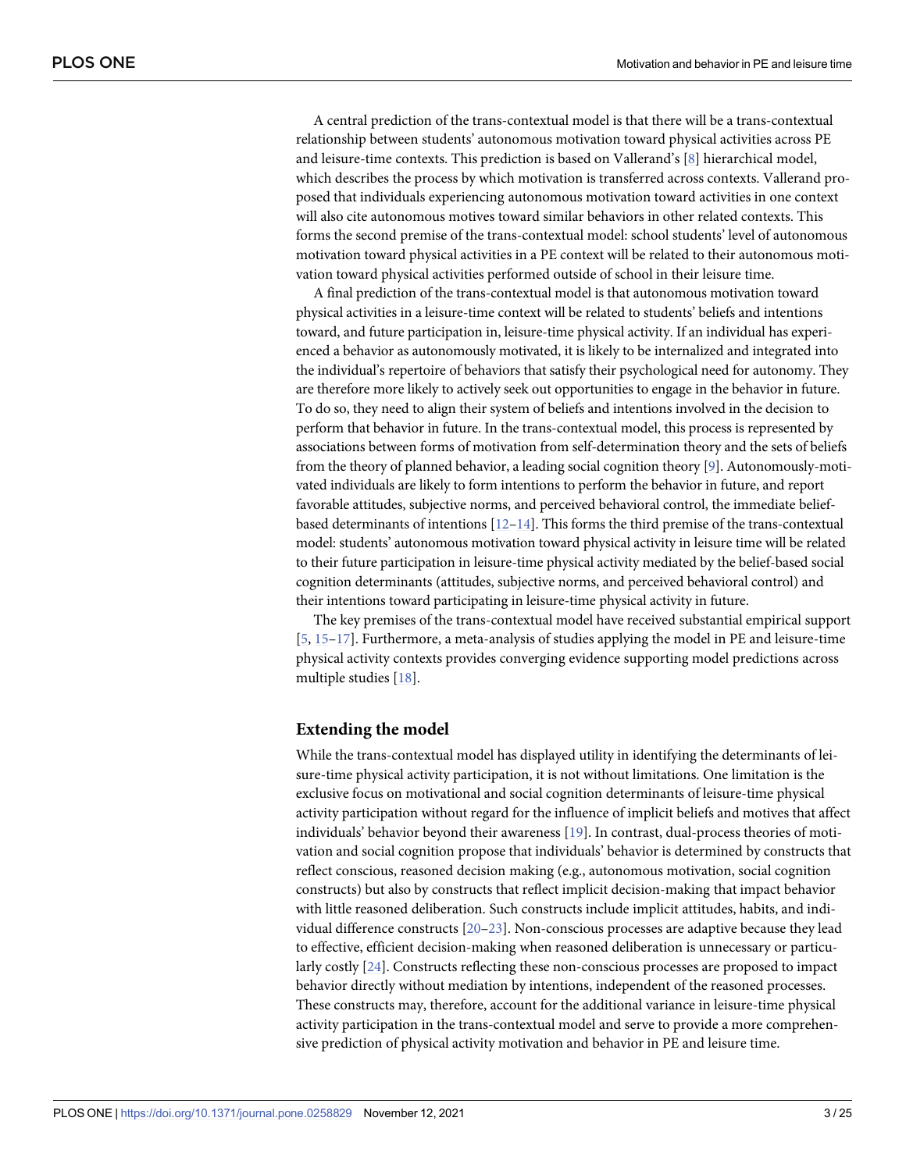<span id="page-2-0"></span>A central prediction of the trans-contextual model is that there will be a trans-contextual relationship between students' autonomous motivation toward physical activities across PE and leisure-time contexts. This prediction is based on Vallerand's [\[8\]](#page-20-0) hierarchical model, which describes the process by which motivation is transferred across contexts. Vallerand proposed that individuals experiencing autonomous motivation toward activities in one context will also cite autonomous motives toward similar behaviors in other related contexts. This forms the second premise of the trans-contextual model: school students' level of autonomous motivation toward physical activities in a PE context will be related to their autonomous motivation toward physical activities performed outside of school in their leisure time.

A final prediction of the trans-contextual model is that autonomous motivation toward physical activities in a leisure-time context will be related to students' beliefs and intentions toward, and future participation in, leisure-time physical activity. If an individual has experienced a behavior as autonomously motivated, it is likely to be internalized and integrated into the individual's repertoire of behaviors that satisfy their psychological need for autonomy. They are therefore more likely to actively seek out opportunities to engage in the behavior in future. To do so, they need to align their system of beliefs and intentions involved in the decision to perform that behavior in future. In the trans-contextual model, this process is represented by associations between forms of motivation from self-determination theory and the sets of beliefs from the theory of planned behavior, a leading social cognition theory [[9\]](#page-20-0). Autonomously-motivated individuals are likely to form intentions to perform the behavior in future, and report favorable attitudes, subjective norms, and perceived behavioral control, the immediate beliefbased determinants of intentions [[12–14\]](#page-20-0). This forms the third premise of the trans-contextual model: students' autonomous motivation toward physical activity in leisure time will be related to their future participation in leisure-time physical activity mediated by the belief-based social cognition determinants (attitudes, subjective norms, and perceived behavioral control) and their intentions toward participating in leisure-time physical activity in future.

The key premises of the trans-contextual model have received substantial empirical support [\[5](#page-20-0), [15–17\]](#page-20-0). Furthermore, a meta-analysis of studies applying the model in PE and leisure-time physical activity contexts provides converging evidence supporting model predictions across multiple studies [\[18](#page-20-0)].

### **Extending the model**

While the trans-contextual model has displayed utility in identifying the determinants of leisure-time physical activity participation, it is not without limitations. One limitation is the exclusive focus on motivational and social cognition determinants of leisure-time physical activity participation without regard for the influence of implicit beliefs and motives that affect individuals' behavior beyond their awareness [[19](#page-20-0)]. In contrast, dual-process theories of motivation and social cognition propose that individuals' behavior is determined by constructs that reflect conscious, reasoned decision making (e.g., autonomous motivation, social cognition constructs) but also by constructs that reflect implicit decision-making that impact behavior with little reasoned deliberation. Such constructs include implicit attitudes, habits, and individual difference constructs [[20](#page-20-0)[–23\]](#page-21-0). Non-conscious processes are adaptive because they lead to effective, efficient decision-making when reasoned deliberation is unnecessary or particularly costly [\[24\]](#page-21-0). Constructs reflecting these non-conscious processes are proposed to impact behavior directly without mediation by intentions, independent of the reasoned processes. These constructs may, therefore, account for the additional variance in leisure-time physical activity participation in the trans-contextual model and serve to provide a more comprehensive prediction of physical activity motivation and behavior in PE and leisure time.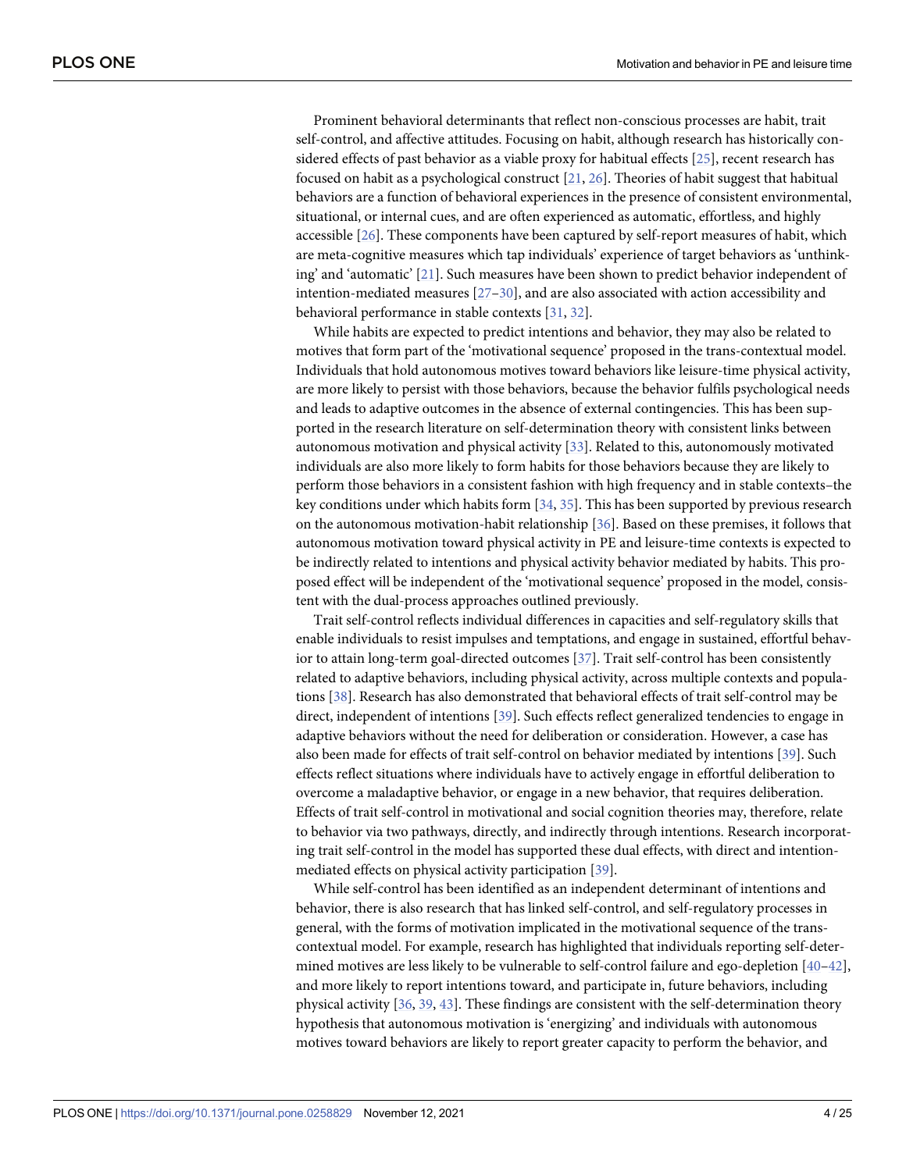<span id="page-3-0"></span>Prominent behavioral determinants that reflect non-conscious processes are habit, trait self-control, and affective attitudes. Focusing on habit, although research has historically considered effects of past behavior as a viable proxy for habitual effects [[25](#page-21-0)], recent research has focused on habit as a psychological construct [\[21](#page-21-0), [26](#page-21-0)]. Theories of habit suggest that habitual behaviors are a function of behavioral experiences in the presence of consistent environmental, situational, or internal cues, and are often experienced as automatic, effortless, and highly accessible [\[26\]](#page-21-0). These components have been captured by self-report measures of habit, which are meta-cognitive measures which tap individuals' experience of target behaviors as 'unthinking' and 'automatic' [[21](#page-21-0)]. Such measures have been shown to predict behavior independent of intention-mediated measures [[27–30\]](#page-21-0), and are also associated with action accessibility and behavioral performance in stable contexts [[31](#page-21-0), [32\]](#page-21-0).

While habits are expected to predict intentions and behavior, they may also be related to motives that form part of the 'motivational sequence' proposed in the trans-contextual model. Individuals that hold autonomous motives toward behaviors like leisure-time physical activity, are more likely to persist with those behaviors, because the behavior fulfils psychological needs and leads to adaptive outcomes in the absence of external contingencies. This has been supported in the research literature on self-determination theory with consistent links between autonomous motivation and physical activity [\[33\]](#page-21-0). Related to this, autonomously motivated individuals are also more likely to form habits for those behaviors because they are likely to perform those behaviors in a consistent fashion with high frequency and in stable contexts–the key conditions under which habits form [\[34,](#page-21-0) [35\]](#page-21-0). This has been supported by previous research on the autonomous motivation-habit relationship [\[36\]](#page-21-0). Based on these premises, it follows that autonomous motivation toward physical activity in PE and leisure-time contexts is expected to be indirectly related to intentions and physical activity behavior mediated by habits. This proposed effect will be independent of the 'motivational sequence' proposed in the model, consistent with the dual-process approaches outlined previously.

Trait self-control reflects individual differences in capacities and self-regulatory skills that enable individuals to resist impulses and temptations, and engage in sustained, effortful behav-ior to attain long-term goal-directed outcomes [[37](#page-21-0)]. Trait self-control has been consistently related to adaptive behaviors, including physical activity, across multiple contexts and populations [\[38\]](#page-21-0). Research has also demonstrated that behavioral effects of trait self-control may be direct, independent of intentions [[39](#page-21-0)]. Such effects reflect generalized tendencies to engage in adaptive behaviors without the need for deliberation or consideration. However, a case has also been made for effects of trait self-control on behavior mediated by intentions [[39](#page-21-0)]. Such effects reflect situations where individuals have to actively engage in effortful deliberation to overcome a maladaptive behavior, or engage in a new behavior, that requires deliberation. Effects of trait self-control in motivational and social cognition theories may, therefore, relate to behavior via two pathways, directly, and indirectly through intentions. Research incorporating trait self-control in the model has supported these dual effects, with direct and intentionmediated effects on physical activity participation [\[39\]](#page-21-0).

While self-control has been identified as an independent determinant of intentions and behavior, there is also research that has linked self-control, and self-regulatory processes in general, with the forms of motivation implicated in the motivational sequence of the transcontextual model. For example, research has highlighted that individuals reporting self-determined motives are less likely to be vulnerable to self-control failure and ego-depletion [\[40–42\]](#page-22-0), and more likely to report intentions toward, and participate in, future behaviors, including physical activity [\[36,](#page-21-0) [39,](#page-21-0) [43\]](#page-22-0). These findings are consistent with the self-determination theory hypothesis that autonomous motivation is 'energizing' and individuals with autonomous motives toward behaviors are likely to report greater capacity to perform the behavior, and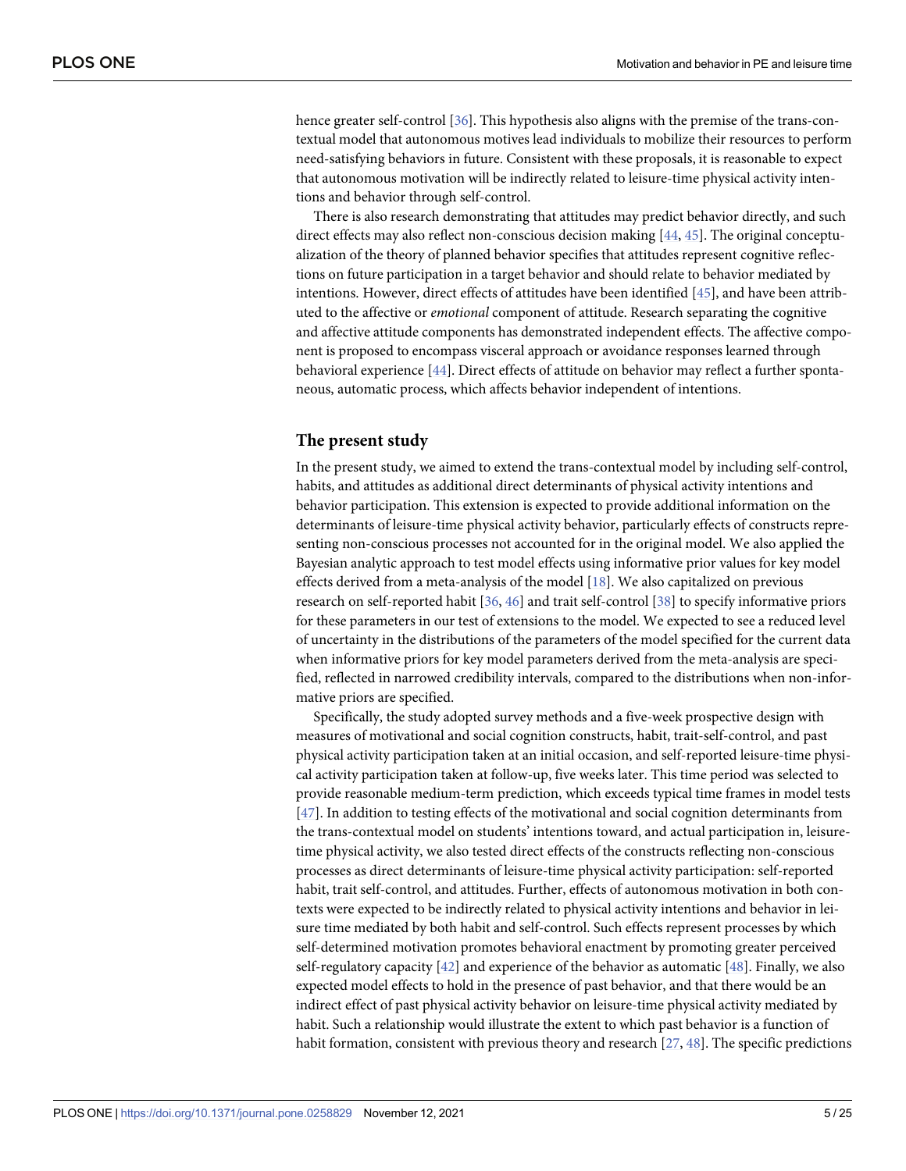<span id="page-4-0"></span>hence greater self-control [\[36\]](#page-21-0). This hypothesis also aligns with the premise of the trans-contextual model that autonomous motives lead individuals to mobilize their resources to perform need-satisfying behaviors in future. Consistent with these proposals, it is reasonable to expect that autonomous motivation will be indirectly related to leisure-time physical activity intentions and behavior through self-control.

There is also research demonstrating that attitudes may predict behavior directly, and such direct effects may also reflect non-conscious decision making [[44](#page-22-0), [45](#page-22-0)]. The original conceptualization of the theory of planned behavior specifies that attitudes represent cognitive reflections on future participation in a target behavior and should relate to behavior mediated by intentions. However, direct effects of attitudes have been identified [\[45\]](#page-22-0), and have been attributed to the affective or *emotional* component of attitude. Research separating the cognitive and affective attitude components has demonstrated independent effects. The affective component is proposed to encompass visceral approach or avoidance responses learned through behavioral experience [\[44\]](#page-22-0). Direct effects of attitude on behavior may reflect a further spontaneous, automatic process, which affects behavior independent of intentions.

#### **The present study**

In the present study, we aimed to extend the trans-contextual model by including self-control, habits, and attitudes as additional direct determinants of physical activity intentions and behavior participation. This extension is expected to provide additional information on the determinants of leisure-time physical activity behavior, particularly effects of constructs representing non-conscious processes not accounted for in the original model. We also applied the Bayesian analytic approach to test model effects using informative prior values for key model effects derived from a meta-analysis of the model  $[18]$ . We also capitalized on previous research on self-reported habit [[36](#page-21-0), [46](#page-22-0)] and trait self-control [\[38\]](#page-21-0) to specify informative priors for these parameters in our test of extensions to the model. We expected to see a reduced level of uncertainty in the distributions of the parameters of the model specified for the current data when informative priors for key model parameters derived from the meta-analysis are specified, reflected in narrowed credibility intervals, compared to the distributions when non-informative priors are specified.

Specifically, the study adopted survey methods and a five-week prospective design with measures of motivational and social cognition constructs, habit, trait-self-control, and past physical activity participation taken at an initial occasion, and self-reported leisure-time physical activity participation taken at follow-up, five weeks later. This time period was selected to provide reasonable medium-term prediction, which exceeds typical time frames in model tests [\[47\]](#page-22-0). In addition to testing effects of the motivational and social cognition determinants from the trans-contextual model on students' intentions toward, and actual participation in, leisuretime physical activity, we also tested direct effects of the constructs reflecting non-conscious processes as direct determinants of leisure-time physical activity participation: self-reported habit, trait self-control, and attitudes. Further, effects of autonomous motivation in both contexts were expected to be indirectly related to physical activity intentions and behavior in leisure time mediated by both habit and self-control. Such effects represent processes by which self-determined motivation promotes behavioral enactment by promoting greater perceived self-regulatory capacity  $[42]$  and experience of the behavior as automatic  $[48]$ . Finally, we also expected model effects to hold in the presence of past behavior, and that there would be an indirect effect of past physical activity behavior on leisure-time physical activity mediated by habit. Such a relationship would illustrate the extent to which past behavior is a function of habit formation, consistent with previous theory and research  $[27, 48]$  $[27, 48]$  $[27, 48]$  $[27, 48]$ . The specific predictions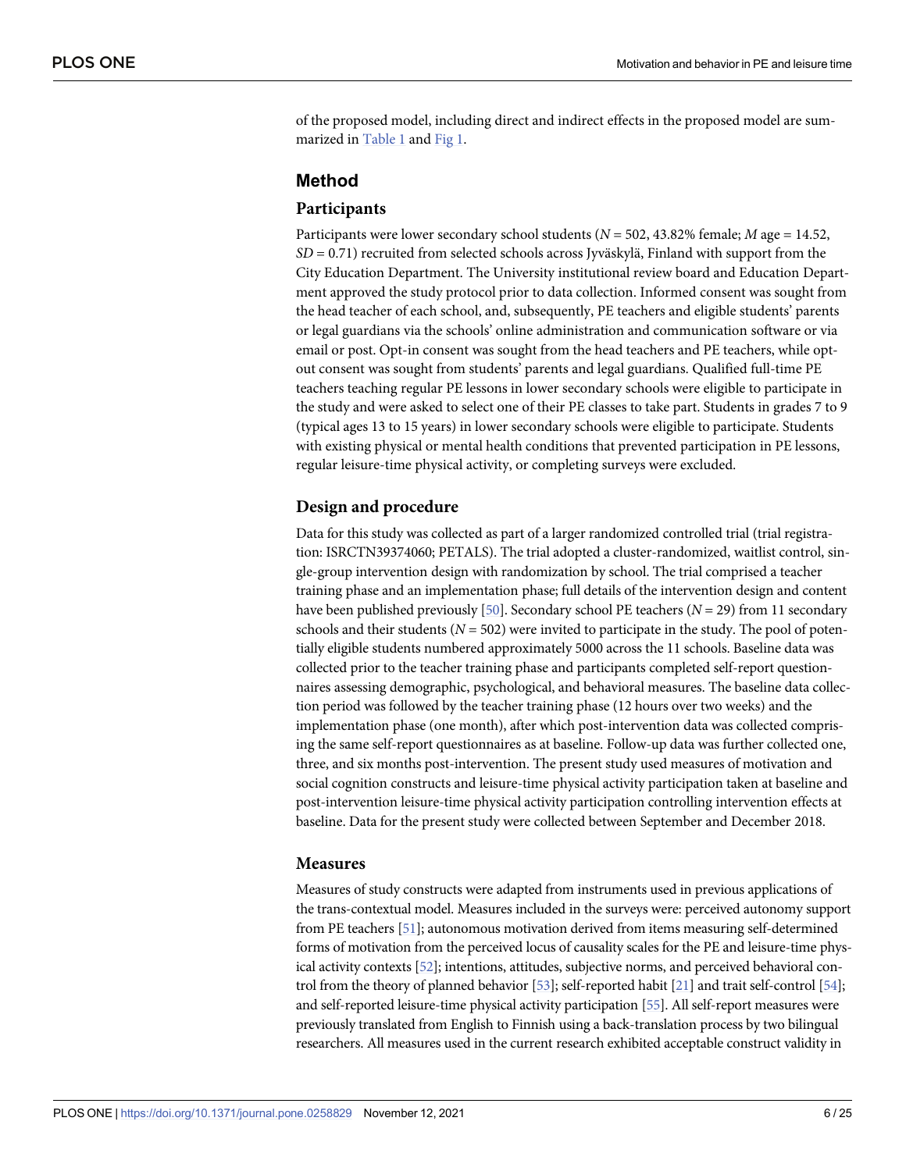<span id="page-5-0"></span>of the proposed model, including direct and indirect effects in the proposed model are summarized in [Table 1](#page-6-0) and [Fig 1](#page-7-0).

## **Method**

#### **Participants**

Participants were lower secondary school students (*N* = 502, 43.82% female; *M* age = 14.52,  $SD = 0.71$ ) recruited from selected schools across Jyväskylä, Finland with support from the City Education Department. The University institutional review board and Education Department approved the study protocol prior to data collection. Informed consent was sought from the head teacher of each school, and, subsequently, PE teachers and eligible students' parents or legal guardians via the schools' online administration and communication software or via email or post. Opt-in consent was sought from the head teachers and PE teachers, while optout consent was sought from students' parents and legal guardians. Qualified full-time PE teachers teaching regular PE lessons in lower secondary schools were eligible to participate in the study and were asked to select one of their PE classes to take part. Students in grades 7 to 9 (typical ages 13 to 15 years) in lower secondary schools were eligible to participate. Students with existing physical or mental health conditions that prevented participation in PE lessons, regular leisure-time physical activity, or completing surveys were excluded.

#### **Design and procedure**

Data for this study was collected as part of a larger randomized controlled trial (trial registration: ISRCTN39374060; PETALS). The trial adopted a cluster-randomized, waitlist control, single-group intervention design with randomization by school. The trial comprised a teacher training phase and an implementation phase; full details of the intervention design and content have been published previously [\[50\]](#page-22-0). Secondary school PE teachers (*N* = 29) from 11 secondary schools and their students  $(N = 502)$  were invited to participate in the study. The pool of potentially eligible students numbered approximately 5000 across the 11 schools. Baseline data was collected prior to the teacher training phase and participants completed self-report questionnaires assessing demographic, psychological, and behavioral measures. The baseline data collection period was followed by the teacher training phase (12 hours over two weeks) and the implementation phase (one month), after which post-intervention data was collected comprising the same self-report questionnaires as at baseline. Follow-up data was further collected one, three, and six months post-intervention. The present study used measures of motivation and social cognition constructs and leisure-time physical activity participation taken at baseline and post-intervention leisure-time physical activity participation controlling intervention effects at baseline. Data for the present study were collected between September and December 2018.

#### **Measures**

Measures of study constructs were adapted from instruments used in previous applications of the trans-contextual model. Measures included in the surveys were: perceived autonomy support from PE teachers [\[51](#page-22-0)]; autonomous motivation derived from items measuring self-determined forms of motivation from the perceived locus of causality scales for the PE and leisure-time physical activity contexts [[52\]](#page-22-0); intentions, attitudes, subjective norms, and perceived behavioral control from the theory of planned behavior [[53\]](#page-22-0); self-reported habit [[21](#page-21-0)] and trait self-control [[54\]](#page-22-0); and self-reported leisure-time physical activity participation [\[55](#page-22-0)]. All self-report measures were previously translated from English to Finnish using a back-translation process by two bilingual researchers. All measures used in the current research exhibited acceptable construct validity in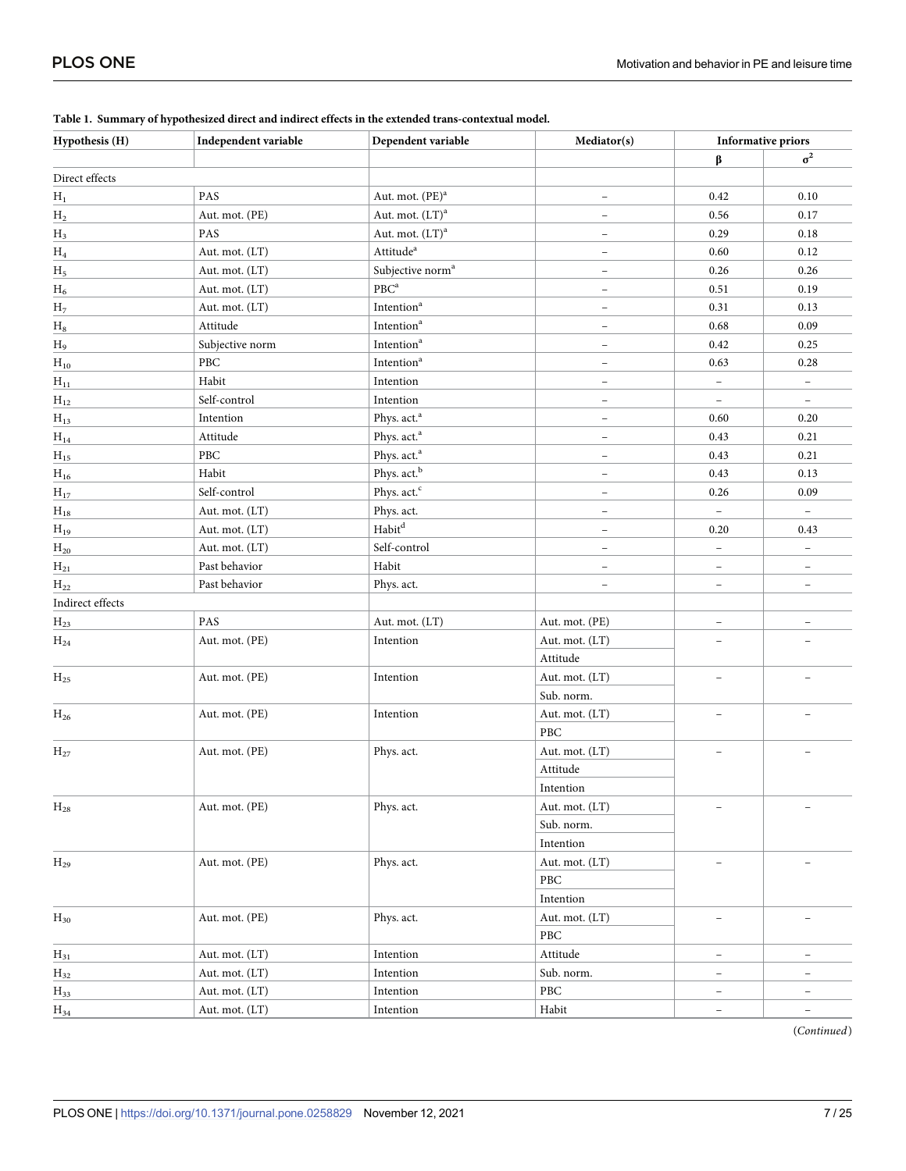| Hypothesis (H)   | Independent variable | Dependent variable           | Mediator(s)              |                          | <b>Informative priors</b> |  |
|------------------|----------------------|------------------------------|--------------------------|--------------------------|---------------------------|--|
|                  |                      |                              |                          | β                        | $\sigma^2$                |  |
| Direct effects   |                      |                              |                          |                          |                           |  |
| $H_1$            | PAS                  | Aut. mot. (PE) <sup>a</sup>  | $\overline{\phantom{0}}$ | 0.42                     | 0.10                      |  |
| ${\rm H_2}$      | Aut. mot. (PE)       | Aut. mot. (LT) <sup>a</sup>  | $\overline{\phantom{a}}$ | 0.56                     | 0.17                      |  |
| $H_3$            | PAS                  | Aut. mot. $(LT)^a$           | $\qquad \qquad -$        | 0.29                     | 0.18                      |  |
| ${\rm H_4}$      | Aut. mot. (LT)       | Attitude <sup>a</sup>        | $\overline{\phantom{a}}$ | 0.60                     | 0.12                      |  |
| $H_5$            | Aut. mot. (LT)       | Subjective norm <sup>a</sup> | $\qquad \qquad -$        | 0.26                     | 0.26                      |  |
| $H_6$            | Aut. mot. (LT)       | PBC <sup>a</sup>             | $\overline{\phantom{a}}$ | 0.51                     | 0.19                      |  |
| H <sub>7</sub>   | Aut. mot. (LT)       | Intention <sup>a</sup>       | $\overline{\phantom{0}}$ | 0.31                     | 0.13                      |  |
| $\rm H_8$        | Attitude             | Intention <sup>a</sup>       | $\overline{\phantom{0}}$ | 0.68                     | 0.09                      |  |
| $H_9$            | Subjective norm      | Intention <sup>a</sup>       | $\overline{\phantom{a}}$ | 0.42                     | 0.25                      |  |
| $H_{10}$         | ${\rm PBC}$          | Intention <sup>a</sup>       | $\overline{\phantom{a}}$ | 0.63                     | 0.28                      |  |
| $H_{11}$         | Habit                | Intention                    | $\qquad \qquad -$        | $\overline{\phantom{a}}$ | $\overline{\phantom{a}}$  |  |
| $H_{12}$         | Self-control         | Intention                    | $\qquad \qquad -$        | $\overline{\phantom{a}}$ | $\overline{\phantom{a}}$  |  |
| $H_{13}$         | Intention            | Phys. act. <sup>a</sup>      | $\qquad \qquad -$        | 0.60                     | 0.20                      |  |
| $\rm H_{14}$     | Attitude             | Phys. act. <sup>a</sup>      | $\qquad \qquad -$        | 0.43                     | 0.21                      |  |
| $\rm H_{15}$     | PBC                  | Phys. act. <sup>a</sup>      | $\overline{\phantom{a}}$ | 0.43                     | 0.21                      |  |
| $\rm H_{16}$     | Habit                | Phys. act. <sup>b</sup>      | $\overline{\phantom{a}}$ | 0.43                     | 0.13                      |  |
| $H_{17}$         | Self-control         | Phys. act. <sup>c</sup>      | $\qquad \qquad -$        | 0.26                     | 0.09                      |  |
| $\rm H_{18}$     | Aut. mot. (LT)       | Phys. act.                   | $\qquad \qquad -$        | $\overline{\phantom{a}}$ | $\overline{\phantom{a}}$  |  |
| $H_{19}$         | Aut. mot. (LT)       | $\operatorname{Habit}^d$     | $\equiv$                 | 0.20                     | 0.43                      |  |
| $H_{20}$         | Aut. mot. (LT)       | Self-control                 | $\qquad \qquad -$        | $\overline{\phantom{a}}$ | $\qquad \qquad -$         |  |
| $H_{21}$         | Past behavior        | Habit                        | $\overline{\phantom{a}}$ | $\overline{\phantom{a}}$ | $\overline{\phantom{a}}$  |  |
| $H_{22}$         | Past behavior        | Phys. act.                   | $\overline{\phantom{a}}$ | $\overline{\phantom{a}}$ | $\overline{\phantom{a}}$  |  |
| Indirect effects |                      |                              |                          |                          |                           |  |
| $\rm{H}_{23}$    | PAS                  | Aut. mot. (LT)               | Aut. mot. (PE)           | $\overline{\phantom{0}}$ | $\overline{\phantom{0}}$  |  |
| $\rm{H}_{24}$    | Aut. mot. (PE)       | Intention                    | Aut. mot. (LT)           | $\overline{\phantom{0}}$ | $\overline{a}$            |  |
|                  |                      |                              | Attitude                 |                          |                           |  |
| $H_{25}$         | Aut. mot. (PE)       | Intention                    | Aut. mot. (LT)           |                          |                           |  |
|                  |                      |                              | Sub. norm.               |                          |                           |  |
| $H_{26}$         | Aut. mot. (PE)       | Intention                    | Aut. mot. (LT)           |                          |                           |  |
|                  |                      |                              | PBC                      |                          |                           |  |
| $H_{27}$         | Aut. mot. (PE)       | Phys. act.                   | Aut. mot. (LT)           | $\overline{\phantom{0}}$ |                           |  |
|                  |                      |                              | Attitude                 |                          |                           |  |
|                  |                      |                              | Intention                |                          |                           |  |
| $H_{28}$         | Aut. mot. (PE)       | Phys. act.                   | Aut. mot. (LT)           | $\overline{\phantom{0}}$ |                           |  |
|                  |                      |                              | Sub. norm.               |                          |                           |  |
|                  |                      |                              | Intention                |                          |                           |  |
| $H_{29}$         | Aut. mot. (PE)       | Phys. act.                   | Aut. mot. (LT)           | $\overline{\phantom{0}}$ |                           |  |
|                  |                      |                              | PBC                      |                          |                           |  |
|                  |                      |                              | Intention                |                          |                           |  |
| $H_{30}$         | Aut. mot. (PE)       | Phys. act.                   | Aut. mot. (LT)           | $\overline{a}$           | $\overline{\phantom{0}}$  |  |
|                  |                      |                              | PBC                      |                          |                           |  |
| $H_{31}$         | Aut. mot. (LT)       | Intention                    | Attitude                 | $\qquad \qquad -$        | -                         |  |
| $\rm{H}_{32}$    | Aut. mot. (LT)       | Intention                    | Sub. norm.               | $\overline{\phantom{a}}$ | $\overline{\phantom{0}}$  |  |
| $H_{33}$         | Aut. mot. (LT)       | Intention                    | PBC                      | $\overline{\phantom{a}}$ | $\qquad \qquad -$         |  |
| $H_{34}$         | Aut. mot. (LT)       | Intention                    | Habit                    | $\overline{\phantom{a}}$ | $\overline{\phantom{a}}$  |  |

<span id="page-6-0"></span>**[Table 1.](#page-5-0) Summary of hypothesized direct and indirect effects in the extended trans-contextual model.**

(*Continued*)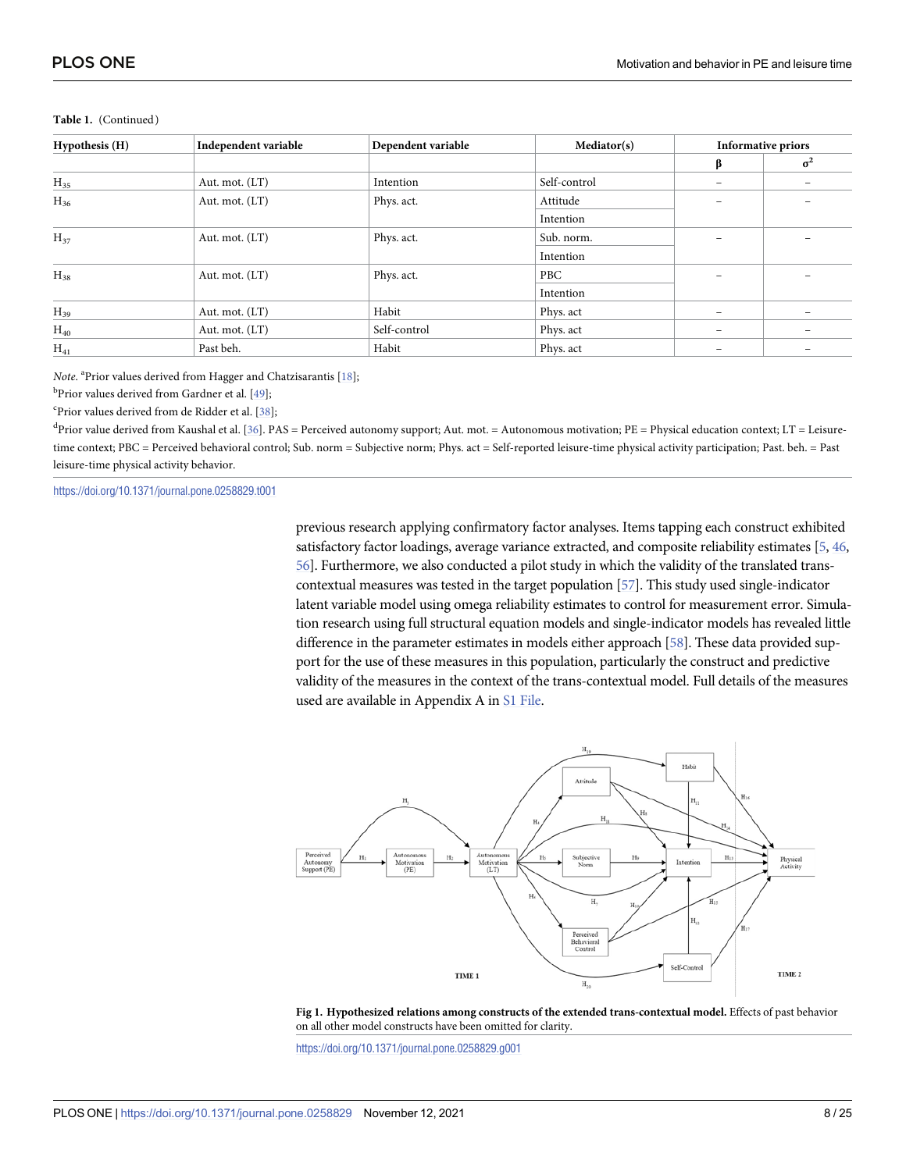| Hypothesis (H) | Independent variable | Dependent variable | Mediator(s)  | <b>Informative priors</b> |                   |  |
|----------------|----------------------|--------------------|--------------|---------------------------|-------------------|--|
|                |                      |                    |              | β                         | $\sigma^2$        |  |
| $H_{35}$       | Aut. mot. (LT)       | Intention          | Self-control | $\overline{\phantom{0}}$  |                   |  |
| $H_{36}$       | Aut. mot. (LT)       | Phys. act.         | Attitude     |                           |                   |  |
|                |                      |                    | Intention    |                           |                   |  |
| $H_{37}$       | Aut. mot. (LT)       | Phys. act.         | Sub. norm.   |                           |                   |  |
|                |                      |                    | Intention    |                           |                   |  |
| $H_{38}$       | Aut. mot. (LT)       | Phys. act.         | PBC          |                           |                   |  |
|                |                      |                    | Intention    |                           |                   |  |
| $H_{39}$       | Aut. mot. (LT)       | Habit              | Phys. act    |                           |                   |  |
| $H_{40}$       | Aut. mot. (LT)       | Self-control       | Phys. act    | $\qquad \qquad$           | $\qquad \qquad -$ |  |
| $H_{41}$       | Past beh.            | Habit              | Phys. act    |                           |                   |  |

#### <span id="page-7-0"></span>Table 1. (Continued)

Note. <sup>a</sup>Prior values derived from Hagger and Chatzisarantis [[18](#page-20-0)];

<sup>b</sup>Prior values derived from Gardner et al. [<u>49];</u>

<sup>c</sup>Prior values derived from de Ridder et al. [\[38\]](#page-21-0);

 ${}^{d}$ Prior value derived from Kaushal et al. [\[36\]](#page-21-0). PAS = Perceived autonomy support; Aut. mot. = Autonomous motivation; PE = Physical education context; LT = Leisuretime context; PBC = Perceived behavioral control; Sub. norm = Subjective norm; Phys. act = Self-reported leisure-time physical activity participation; Past. beh. = Past leisure-time physical activity behavior.

<https://doi.org/10.1371/journal.pone.0258829.t001>

previous research applying confirmatory factor analyses. Items tapping each construct exhibited satisfactory factor loadings, average variance extracted, and composite reliability estimates [[5](#page-20-0), [46,](#page-22-0) [56](#page-22-0)]. Furthermore, we also conducted a pilot study in which the validity of the translated transcontextual measures was tested in the target population [\[57](#page-22-0)]. This study used single-indicator latent variable model using omega reliability estimates to control for measurement error. Simulation research using full structural equation models and single-indicator models has revealed little difference in the parameter estimates in models either approach [[58](#page-22-0)]. These data provided support for the use of these measures in this population, particularly the construct and predictive validity of the measures in the context of the trans-contextual model. Full details of the measures used are available in Appendix A in [S1 File.](#page-19-0)



**[Fig 1. H](#page-5-0)ypothesized relations among constructs of the extended trans-contextual model.** Effects of past behavior on all other model constructs have been omitted for clarity.

<https://doi.org/10.1371/journal.pone.0258829.g001>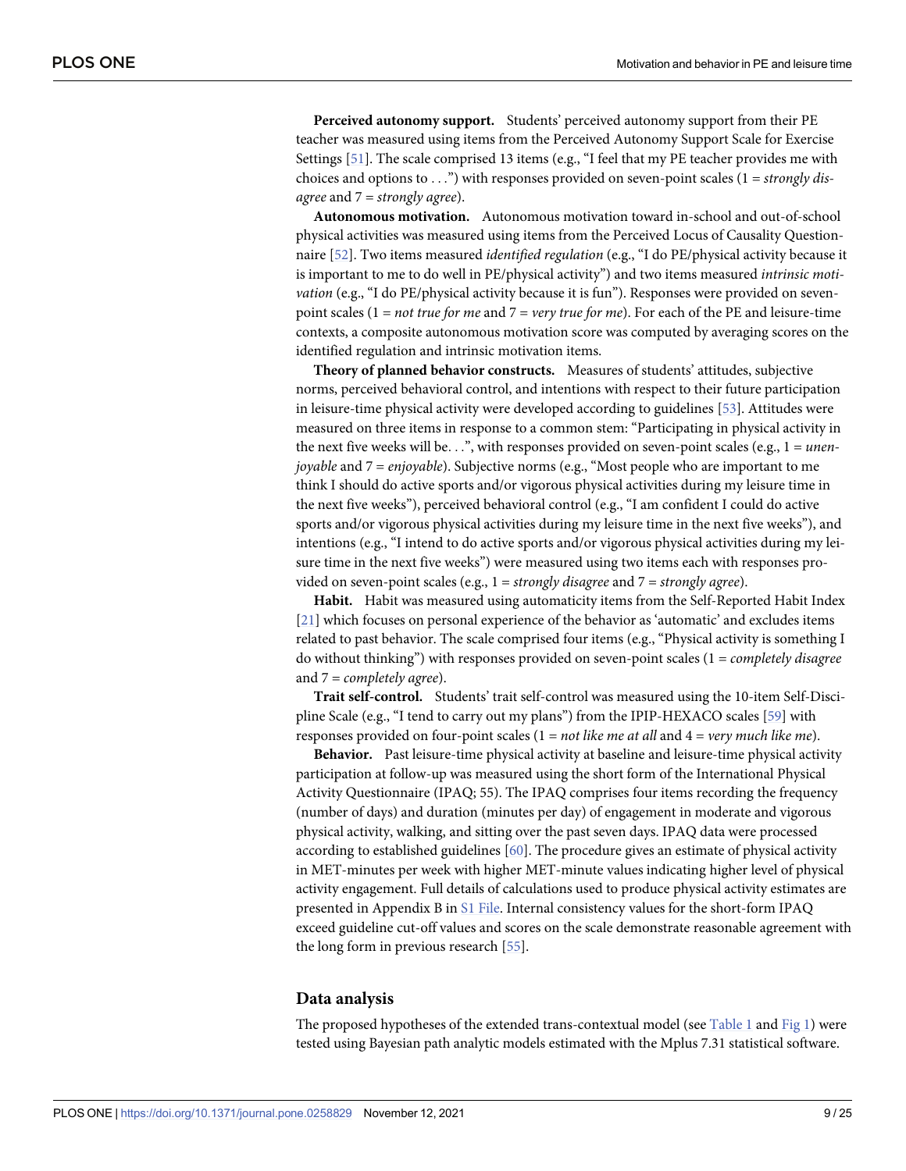<span id="page-8-0"></span>**Perceived autonomy support.** Students' perceived autonomy support from their PE teacher was measured using items from the Perceived Autonomy Support Scale for Exercise Settings  $[51]$ . The scale comprised 13 items (e.g., "I feel that my PE teacher provides me with choices and options to . . .") with responses provided on seven-point scales (1 = *strongly disagree* and 7 = *strongly agree*).

**Autonomous motivation.** Autonomous motivation toward in-school and out-of-school physical activities was measured using items from the Perceived Locus of Causality Questionnaire [\[52\]](#page-22-0). Two items measured *identified regulation* (e.g., "I do PE/physical activity because it is important to me to do well in PE/physical activity") and two items measured *intrinsic motivation* (e.g., "I do PE/physical activity because it is fun"). Responses were provided on sevenpoint scales (1 = *not true for me* and 7 = *very true for me*). For each of the PE and leisure-time contexts, a composite autonomous motivation score was computed by averaging scores on the identified regulation and intrinsic motivation items.

**Theory of planned behavior constructs.** Measures of students' attitudes, subjective norms, perceived behavioral control, and intentions with respect to their future participation in leisure-time physical activity were developed according to guidelines [\[53\]](#page-22-0). Attitudes were measured on three items in response to a common stem: "Participating in physical activity in the next five weeks will be. . .", with responses provided on seven-point scales (e.g., 1 = *unenjoyable* and 7 = *enjoyable*). Subjective norms (e.g., "Most people who are important to me think I should do active sports and/or vigorous physical activities during my leisure time in the next five weeks"), perceived behavioral control (e.g., "I am confident I could do active sports and/or vigorous physical activities during my leisure time in the next five weeks"), and intentions (e.g., "I intend to do active sports and/or vigorous physical activities during my leisure time in the next five weeks") were measured using two items each with responses provided on seven-point scales (e.g., 1 = *strongly disagree* and 7 = *strongly agree*).

**Habit.** Habit was measured using automaticity items from the Self-Reported Habit Index [\[21\]](#page-21-0) which focuses on personal experience of the behavior as 'automatic' and excludes items related to past behavior. The scale comprised four items (e.g., "Physical activity is something I do without thinking") with responses provided on seven-point scales (1 = *completely disagree* and 7 = *completely agree*).

**Trait self-control.** Students' trait self-control was measured using the 10-item Self-Discipline Scale (e.g., "I tend to carry out my plans") from the IPIP-HEXACO scales [[59](#page-23-0)] with responses provided on four-point scales (1 = *not like me at all* and 4 = *very much like me*).

**Behavior.** Past leisure-time physical activity at baseline and leisure-time physical activity participation at follow-up was measured using the short form of the International Physical Activity Questionnaire (IPAQ; 55). The IPAQ comprises four items recording the frequency (number of days) and duration (minutes per day) of engagement in moderate and vigorous physical activity, walking, and sitting over the past seven days. IPAQ data were processed according to established guidelines [\[60\]](#page-23-0). The procedure gives an estimate of physical activity in MET-minutes per week with higher MET-minute values indicating higher level of physical activity engagement. Full details of calculations used to produce physical activity estimates are presented in Appendix B in [S1 File.](#page-19-0) Internal consistency values for the short-form IPAQ exceed guideline cut-off values and scores on the scale demonstrate reasonable agreement with the long form in previous research [\[55\]](#page-22-0).

#### **Data analysis**

The proposed hypotheses of the extended trans-contextual model (see [Table 1](#page-6-0) and [Fig 1\)](#page-7-0) were tested using Bayesian path analytic models estimated with the Mplus 7.31 statistical software.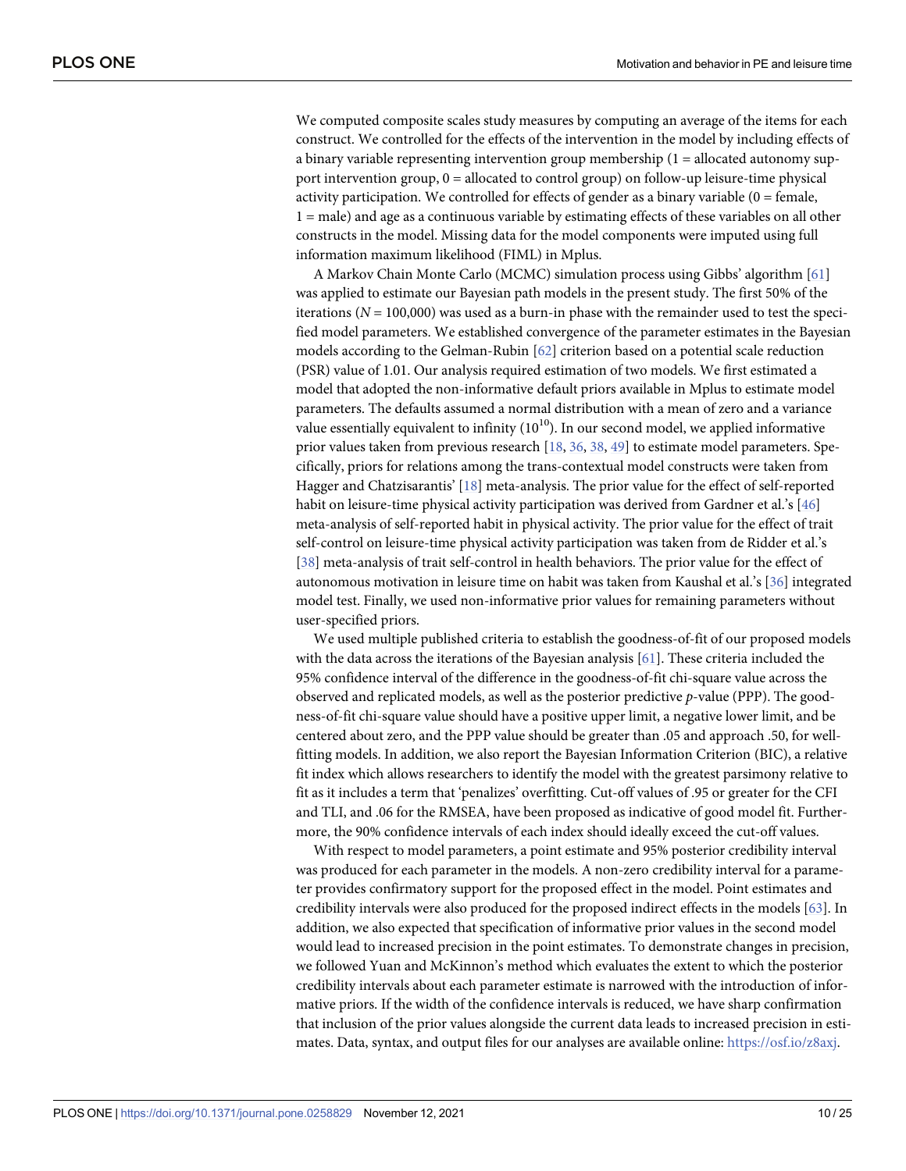<span id="page-9-0"></span>We computed composite scales study measures by computing an average of the items for each construct. We controlled for the effects of the intervention in the model by including effects of a binary variable representing intervention group membership  $(1 =$  allocated autonomy support intervention group, 0 = allocated to control group) on follow-up leisure-time physical activity participation. We controlled for effects of gender as a binary variable  $(0 =$  female, 1 = male) and age as a continuous variable by estimating effects of these variables on all other constructs in the model. Missing data for the model components were imputed using full information maximum likelihood (FIML) in Mplus.

A Markov Chain Monte Carlo (MCMC) simulation process using Gibbs' algorithm [\[61\]](#page-23-0) was applied to estimate our Bayesian path models in the present study. The first 50% of the iterations  $(N = 100,000)$  was used as a burn-in phase with the remainder used to test the specified model parameters. We established convergence of the parameter estimates in the Bayesian models according to the Gelman-Rubin [[62](#page-23-0)] criterion based on a potential scale reduction (PSR) value of 1.01. Our analysis required estimation of two models. We first estimated a model that adopted the non-informative default priors available in Mplus to estimate model parameters. The defaults assumed a normal distribution with a mean of zero and a variance value essentially equivalent to infinity  $(10^{10})$ . In our second model, we applied informative prior values taken from previous research [[18](#page-20-0), [36](#page-21-0), [38](#page-21-0), [49](#page-22-0)] to estimate model parameters. Specifically, priors for relations among the trans-contextual model constructs were taken from Hagger and Chatzisarantis' [\[18\]](#page-20-0) meta-analysis. The prior value for the effect of self-reported habit on leisure-time physical activity participation was derived from Gardner et al.'s [[46](#page-22-0)] meta-analysis of self-reported habit in physical activity. The prior value for the effect of trait self-control on leisure-time physical activity participation was taken from de Ridder et al.'s [\[38\]](#page-21-0) meta-analysis of trait self-control in health behaviors. The prior value for the effect of autonomous motivation in leisure time on habit was taken from Kaushal et al.'s [\[36\]](#page-21-0) integrated model test. Finally, we used non-informative prior values for remaining parameters without user-specified priors.

We used multiple published criteria to establish the goodness-of-fit of our proposed models with the data across the iterations of the Bayesian analysis [\[61\]](#page-23-0). These criteria included the 95% confidence interval of the difference in the goodness-of-fit chi-square value across the observed and replicated models, as well as the posterior predictive *p*-value (PPP). The goodness-of-fit chi-square value should have a positive upper limit, a negative lower limit, and be centered about zero, and the PPP value should be greater than .05 and approach .50, for wellfitting models. In addition, we also report the Bayesian Information Criterion (BIC), a relative fit index which allows researchers to identify the model with the greatest parsimony relative to fit as it includes a term that 'penalizes' overfitting. Cut-off values of .95 or greater for the CFI and TLI, and .06 for the RMSEA, have been proposed as indicative of good model fit. Furthermore, the 90% confidence intervals of each index should ideally exceed the cut-off values.

With respect to model parameters, a point estimate and 95% posterior credibility interval was produced for each parameter in the models. A non-zero credibility interval for a parameter provides confirmatory support for the proposed effect in the model. Point estimates and credibility intervals were also produced for the proposed indirect effects in the models [[63](#page-23-0)]. In addition, we also expected that specification of informative prior values in the second model would lead to increased precision in the point estimates. To demonstrate changes in precision, we followed Yuan and McKinnon's method which evaluates the extent to which the posterior credibility intervals about each parameter estimate is narrowed with the introduction of informative priors. If the width of the confidence intervals is reduced, we have sharp confirmation that inclusion of the prior values alongside the current data leads to increased precision in estimates. Data, syntax, and output files for our analyses are available online: [https://osf.io/z8axj.](https://osf.io/z8axj)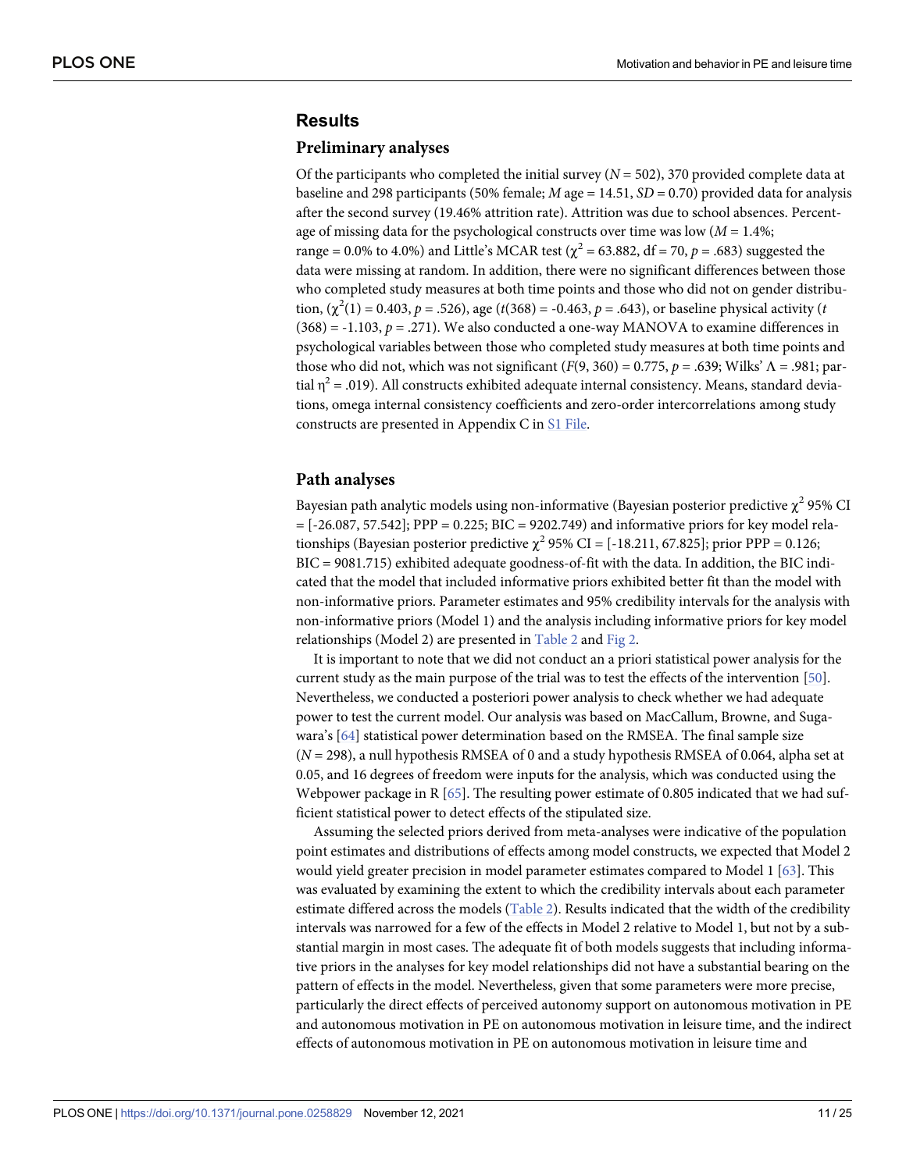# <span id="page-10-0"></span>**Results**

#### **Preliminary analyses**

Of the participants who completed the initial survey  $(N = 502)$ , 370 provided complete data at baseline and 298 participants (50% female; *M* age = 14.51, *SD* = 0.70) provided data for analysis after the second survey (19.46% attrition rate). Attrition was due to school absences. Percentage of missing data for the psychological constructs over time was low (*M* = 1.4%; range = 0.0% to 4.0%) and Little's MCAR test ( $\chi^2$  = 63.882, df = 70, *p* = .683) suggested the data were missing at random. In addition, there were no significant differences between those who completed study measures at both time points and those who did not on gender distribution,  $(\chi^2(1) = 0.403, p = .526)$ , age (*t*(368) = -0.463, *p* = .643), or baseline physical activity (*t*  $(368) = -1.103$ ,  $p = .271$ ). We also conducted a one-way MANOVA to examine differences in psychological variables between those who completed study measures at both time points and those who did not, which was not significant (*F*(9, 360) = 0.775, *p* = .639; Wilks' Λ = .981; partial  $\eta^2$  = .019). All constructs exhibited adequate internal consistency. Means, standard deviations, omega internal consistency coefficients and zero-order intercorrelations among study constructs are presented in Appendix C in [S1 File.](#page-19-0)

### **Path analyses**

Bayesian path analytic models using non-informative (Bayesian posterior predictive  $\chi^2$  95% CI  $=[-26.087, 57.542]$ ; PPP = 0.225; BIC = 9202.749) and informative priors for key model relationships (Bayesian posterior predictive  $\chi^2$  95% CI = [-18.211, 67.825]; prior PPP = 0.126; BIC = 9081.715) exhibited adequate goodness-of-fit with the data. In addition, the BIC indicated that the model that included informative priors exhibited better fit than the model with non-informative priors. Parameter estimates and 95% credibility intervals for the analysis with non-informative priors (Model 1) and the analysis including informative priors for key model relationships (Model 2) are presented in [Table 2](#page-11-0) and [Fig 2.](#page-13-0)

It is important to note that we did not conduct an a priori statistical power analysis for the current study as the main purpose of the trial was to test the effects of the intervention [\[50\]](#page-22-0). Nevertheless, we conducted a posteriori power analysis to check whether we had adequate power to test the current model. Our analysis was based on MacCallum, Browne, and Sugawara's [[64](#page-23-0)] statistical power determination based on the RMSEA. The final sample size (*N* = 298), a null hypothesis RMSEA of 0 and a study hypothesis RMSEA of 0.064, alpha set at 0.05, and 16 degrees of freedom were inputs for the analysis, which was conducted using the Webpower package in R  $[65]$  $[65]$  $[65]$ . The resulting power estimate of 0.805 indicated that we had sufficient statistical power to detect effects of the stipulated size.

Assuming the selected priors derived from meta-analyses were indicative of the population point estimates and distributions of effects among model constructs, we expected that Model 2 would yield greater precision in model parameter estimates compared to Model 1 [[63](#page-23-0)]. This was evaluated by examining the extent to which the credibility intervals about each parameter estimate differed across the models ([Table 2\)](#page-11-0). Results indicated that the width of the credibility intervals was narrowed for a few of the effects in Model 2 relative to Model 1, but not by a substantial margin in most cases. The adequate fit of both models suggests that including informative priors in the analyses for key model relationships did not have a substantial bearing on the pattern of effects in the model. Nevertheless, given that some parameters were more precise, particularly the direct effects of perceived autonomy support on autonomous motivation in PE and autonomous motivation in PE on autonomous motivation in leisure time, and the indirect effects of autonomous motivation in PE on autonomous motivation in leisure time and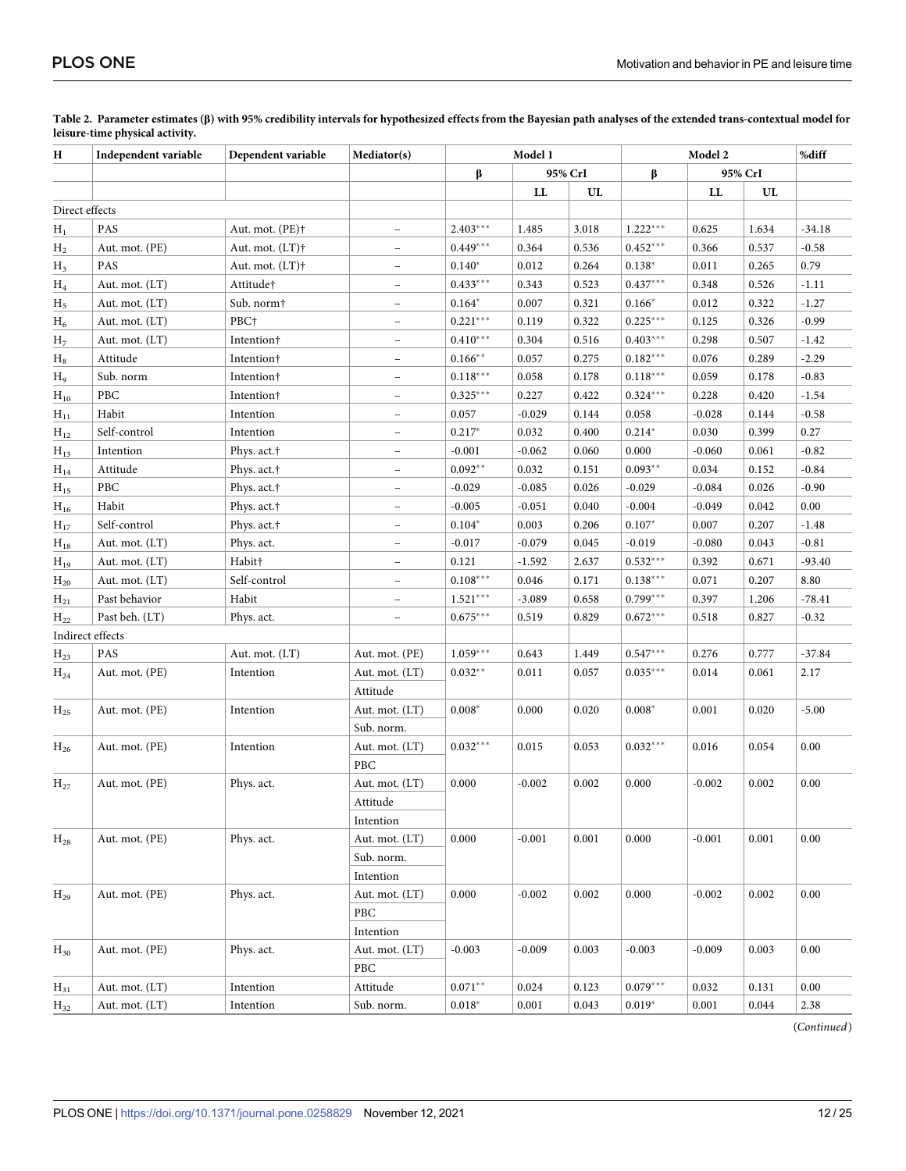| Independent variable<br>Dependent variable<br>H |                  | Mediator(s)                 | Model 1                  |                |                  | Model 2 |            |            | %diff |          |
|-------------------------------------------------|------------------|-----------------------------|--------------------------|----------------|------------------|---------|------------|------------|-------|----------|
|                                                 |                  |                             |                          | β              | 95% CrI          |         | β          | 95% CrI    |       |          |
|                                                 |                  |                             |                          |                | ${\bf L}{\bf L}$ | UL      |            | ${\rm LL}$ | UL    |          |
|                                                 | Direct effects   |                             |                          |                |                  |         |            |            |       |          |
| $H_1$                                           | PAS              | Aut. mot. (PE) <sup>†</sup> |                          | $2.403***$     | 1.485            | 3.018   | $1.222***$ | 0.625      | 1.634 | $-34.18$ |
| $H_2$                                           | Aut. mot. (PE)   | Aut. mot. $(LT)$ †          | $\overline{\phantom{a}}$ | $0.449***$     | 0.364            | 0.536   | $0.452***$ | 0.366      | 0.537 | $-0.58$  |
| $H_3$                                           | PAS              | Aut. mot. $(LT)$ †          | $\overline{\phantom{m}}$ | $0.140*$       | 0.012            | 0.264   | $0.138*$   | 0.011      | 0.265 | 0.79     |
| $H_4$                                           | Aut. mot. (LT)   | Attitude†                   | $\overline{\phantom{a}}$ | $0.433***$     | 0.343            | 0.523   | $0.437***$ | 0.348      | 0.526 | $-1.11$  |
| Н5                                              | Aut. mot. (LT)   | Sub. norm†                  | $\overline{\phantom{a}}$ | $0.164*$       | 0.007            | 0.321   | $0.166*$   | 0.012      | 0.322 | $-1.27$  |
| $H_6$                                           | Aut. mot. (LT)   | PBC <sup>+</sup>            | $\overline{\phantom{a}}$ | $0.221***$     | 0.119            | 0.322   | $0.225***$ | 0.125      | 0.326 | $-0.99$  |
| H <sub>7</sub>                                  | Aut. mot. (LT)   | Intention <sup>+</sup>      | $\overline{\phantom{a}}$ | $0.410***$     | 0.304            | 0.516   | $0.403***$ | 0.298      | 0.507 | $-1.42$  |
| $\rm{H}_{8}$                                    | Attitude         | Intention†                  | $\overline{\phantom{a}}$ | $0.166**$      | 0.057            | 0.275   | $0.182***$ | 0.076      | 0.289 | $-2.29$  |
| H9                                              | Sub. norm        | Intention†                  | $\overline{\phantom{a}}$ | $0.118***$     | 0.058            | 0.178   | $0.118***$ | 0.059      | 0.178 | $-0.83$  |
| $H_{10}$                                        | PBC              | Intention†                  | $\overline{\phantom{0}}$ | $0.325***$     | 0.227            | 0.422   | $0.324***$ | 0.228      | 0.420 | $-1.54$  |
| $H_{11}$                                        | Habit            | Intention                   | $\overline{\phantom{a}}$ | 0.057          | $-0.029$         | 0.144   | 0.058      | $-0.028$   | 0.144 | $-0.58$  |
| $H_{12}$                                        | Self-control     | Intention                   | $\overline{\phantom{a}}$ | $0.217*$       | 0.032            | 0.400   | $0.214*$   | 0.030      | 0.399 | 0.27     |
| $H_{13}$                                        | Intention        | Phys. act. <sup>+</sup>     | $\overline{\phantom{0}}$ | $-0.001$       | $-0.062$         | 0.060   | 0.000      | $-0.060$   | 0.061 | $-0.82$  |
| $H_{14}$                                        | Attitude         | Phys. act. <sup>+</sup>     | $\overline{\phantom{a}}$ | $0.092**$      | 0.032            | 0.151   | $0.093**$  | 0.034      | 0.152 | $-0.84$  |
| $H_{15}$                                        | PBC              | Phys. act. <sup>†</sup>     | $\overline{\phantom{a}}$ | $-0.029$       | $-0.085$         | 0.026   | $-0.029$   | $-0.084$   | 0.026 | $-0.90$  |
| $H_{16}$                                        | Habit            | Phys. act. <sup>†</sup>     | $\equiv$                 | $-0.005$       | $-0.051$         | 0.040   | $-0.004$   | $-0.049$   | 0.042 | 0.00     |
| $H_{17}$                                        | Self-control     | Phys. act. <sup>+</sup>     | $\overline{\phantom{a}}$ | $0.104*$       | 0.003            | 0.206   | $0.107*$   | 0.007      | 0.207 | $-1.48$  |
| $H_{18}$                                        | Aut. mot. (LT)   | Phys. act.                  | $\overline{\phantom{a}}$ | $-0.017$       | $-0.079$         | 0.045   | $-0.019$   | $-0.080$   | 0.043 | $-0.81$  |
| $H_{19}$                                        | Aut. mot. (LT)   | Habit†                      | $\overline{\phantom{0}}$ | 0.121          | $-1.592$         | 2.637   | $0.532***$ | 0.392      | 0.671 | $-93.40$ |
| $H_{20}$                                        | Aut. mot. (LT)   | Self-control                | $\overline{\phantom{a}}$ | $0.108***$     | 0.046            | 0.171   | $0.138***$ | 0.071      | 0.207 | 8.80     |
| $H_{21}$                                        | Past behavior    | Habit                       | $\overline{\phantom{a}}$ | $1.521***$     | $-3.089$         | 0.658   | $0.799***$ | 0.397      | 1.206 | $-78.41$ |
| $H_{22}$                                        | Past beh. (LT)   | Phys. act.                  | $\overline{\phantom{a}}$ | $0.675***$     | 0.519            | 0.829   | $0.672***$ | 0.518      | 0.827 | $-0.32$  |
|                                                 | Indirect effects |                             |                          |                |                  |         |            |            |       |          |
| $H_{23}$                                        | PAS              | Aut. mot. (LT)              | Aut. mot. (PE)           | $1.059***$     | 0.643            | 1.449   | $0.547***$ | 0.276      | 0.777 | $-37.84$ |
| $H_{24}$                                        | Aut. mot. (PE)   | Intention                   | Aut. mot. (LT)           | $0.032**$      | 0.011            | 0.057   | $0.035***$ | 0.014      | 0.061 | 2.17     |
|                                                 |                  |                             | Attitude                 |                |                  |         |            |            |       |          |
| $H_{25}$                                        | Aut. mot. (PE)   | Intention                   | Aut. mot. (LT)           | $0.008*$       | 0.000            | 0.020   | $0.008*$   | 0.001      | 0.020 | $-5.00$  |
|                                                 |                  |                             | Sub. norm.               |                |                  |         |            |            |       |          |
| $H_{26}$                                        | Aut. mot. (PE)   | Intention                   | Aut. mot. (LT)           | $0.032***$     | 0.015            | 0.053   | $0.032***$ | 0.016      | 0.054 | 0.00     |
|                                                 |                  |                             | PBC                      |                |                  |         |            |            |       |          |
| $H_{27}$                                        | Aut. mot. (PE)   | Phys. act.                  | Aut. mot. (LT)           | 0.000          | $-0.002$         | 0.002   | 0.000      | $-0.002$   | 0.002 | 0.00     |
|                                                 |                  |                             | Attitude                 |                |                  |         |            |            |       |          |
|                                                 |                  |                             | Intention                |                |                  |         |            |            |       |          |
| $H_{28}$                                        | Aut. mot. (PE)   | Phys. act.                  | Aut. mot. (LT)           | 0.000          | $-0.001$         | 0.001   | 0.000      | $-0.001$   | 0.001 | 0.00     |
|                                                 |                  |                             | Sub. norm.               |                |                  |         |            |            |       |          |
|                                                 |                  |                             | Intention                |                |                  |         |            |            |       |          |
| $H_{29}$                                        | Aut. mot. (PE)   | Phys. act.                  | Aut. mot. (LT)           | 0.000          | $-0.002$         | 0.002   | 0.000      | $-0.002$   | 0.002 | 0.00     |
|                                                 |                  |                             | PBC                      |                |                  |         |            |            |       |          |
|                                                 |                  |                             | Intention                |                |                  |         |            |            |       |          |
| $H_{30}$                                        | Aut. mot. (PE)   | Phys. act.                  | Aut. mot. (LT)           | $-0.003$       | $-0.009$         | 0.003   | $-0.003$   | $-0.009$   | 0.003 | 0.00     |
|                                                 |                  |                             | PBC                      |                |                  |         |            |            |       |          |
| $H_{31}$                                        | Aut. mot. (LT)   | Intention                   | Attitude                 | $0.071**$      | 0.024            | 0.123   | $0.079***$ | 0.032      | 0.131 | 0.00     |
| $H_{32}$                                        | Aut. mot. (LT)   | Intention                   | Sub. norm.               | $0.018^{\ast}$ | 0.001            | 0.043   | $0.019*$   | 0.001      | 0.044 | 2.38     |

<span id="page-11-0"></span>**[Table 2.](#page-10-0) Parameter estimates (β) with 95% credibility intervals for hypothesized effects from the Bayesian path analyses of the extended trans-contextual model for leisure-time physical activity.**

(*Continued*)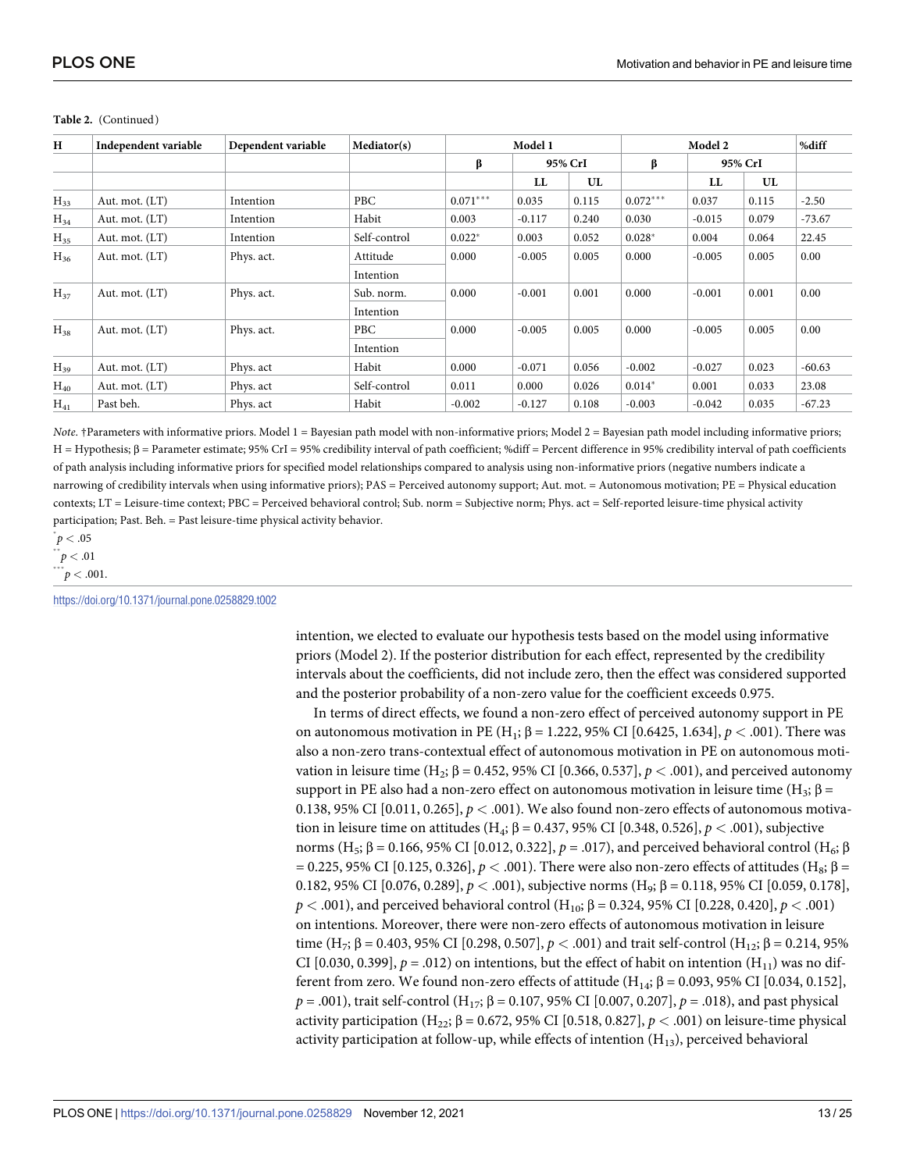| H        | Independent variable | Dependent variable | Mediator(s)  |            | Model 1  |         | Model 2    |          |       | %diff    |
|----------|----------------------|--------------------|--------------|------------|----------|---------|------------|----------|-------|----------|
|          |                      |                    |              | β          |          | 95% CrI |            | 95% CrI  |       |          |
|          |                      |                    |              |            | LL       | UL      |            | LL       | UL    |          |
| $H_{33}$ | Aut. mot. (LT)       | Intention          | <b>PBC</b>   | $0.071***$ | 0.035    | 0.115   | $0.072***$ | 0.037    | 0.115 | $-2.50$  |
| $H_{34}$ | Aut. mot. (LT)       | Intention          | Habit        | 0.003      | $-0.117$ | 0.240   | 0.030      | $-0.015$ | 0.079 | $-73.67$ |
| $H_{35}$ | Aut. mot. (LT)       | Intention          | Self-control | $0.022*$   | 0.003    | 0.052   | $0.028*$   | 0.004    | 0.064 | 22.45    |
| $H_{36}$ | Aut. mot. (LT)       | Phys. act.         | Attitude     | 0.000      | $-0.005$ | 0.005   | 0.000      | $-0.005$ | 0.005 | 0.00     |
|          |                      |                    | Intention    |            |          |         |            |          |       |          |
| $H_{37}$ | Aut. mot. (LT)       | Phys. act.         | Sub. norm.   | 0.000      | $-0.001$ | 0.001   | 0.000      | $-0.001$ | 0.001 | 0.00     |
|          |                      |                    | Intention    |            |          |         |            |          |       |          |
| $H_{38}$ | Aut. mot. (LT)       | Phys. act.         | <b>PBC</b>   | 0.000      | $-0.005$ | 0.005   | 0.000      | $-0.005$ | 0.005 | 0.00     |
|          |                      |                    | Intention    |            |          |         |            |          |       |          |
| $H_{39}$ | Aut. mot. (LT)       | Phys. act          | Habit        | 0.000      | $-0.071$ | 0.056   | $-0.002$   | $-0.027$ | 0.023 | $-60.63$ |
| $H_{40}$ | Aut. mot. (LT)       | Phys. act          | Self-control | 0.011      | 0.000    | 0.026   | $0.014*$   | 0.001    | 0.033 | 23.08    |
| $H_{41}$ | Past beh.            | Phys. act          | Habit        | $-0.002$   | $-0.127$ | 0.108   | $-0.003$   | $-0.042$ | 0.035 | $-67.23$ |

#### Table 2. (Continued)

*Note*. †Parameters with informative priors. Model 1 = Bayesian path model with non-informative priors; Model 2 = Bayesian path model including informative priors; H = Hypothesis; β = Parameter estimate; 95% CrI = 95% credibility interval of path coefficient; %diff = Percent difference in 95% credibility interval of path coefficients of path analysis including informative priors for specified model relationships compared to analysis using non-informative priors (negative numbers indicate a narrowing of credibility intervals when using informative priors); PAS = Perceived autonomy support; Aut. mot. = Autonomous motivation; PE = Physical education contexts; LT = Leisure-time context; PBC = Perceived behavioral control; Sub. norm = Subjective norm; Phys. act = Self-reported leisure-time physical activity participation; Past. Beh. = Past leisure-time physical activity behavior.

#### $\phi$   $<$  .05

 $p < .01$ 

 $\int_{0}^{***} p < .001$ .

<https://doi.org/10.1371/journal.pone.0258829.t002>

intention, we elected to evaluate our hypothesis tests based on the model using informative priors (Model 2). If the posterior distribution for each effect, represented by the credibility intervals about the coefficients, did not include zero, then the effect was considered supported and the posterior probability of a non-zero value for the coefficient exceeds 0.975.

In terms of direct effects, we found a non-zero effect of perceived autonomy support in PE on autonomous motivation in PE (H1; β = 1.222, 95% CI [0.6425, 1.634], *p <* .001). There was also a non-zero trans-contextual effect of autonomous motivation in PE on autonomous motivation in leisure time (H<sub>2</sub>; β = 0.452, 95% CI [0.366, 0.537],  $p < .001$ ), and perceived autonomy support in PE also had a non-zero effect on autonomous motivation in leisure time (H<sub>3</sub>;  $\beta$  = 0.138, 95% CI  $[0.011, 0.265], p < .001$ ). We also found non-zero effects of autonomous motivation in leisure time on attitudes (H<sub>4</sub>; β = 0.437, 95% CI [0.348, 0.526], *p* < .001), subjective norms (H<sub>5</sub>; β = 0.166, 95% CI [0.012, 0.322],  $p = .017$ ), and perceived behavioral control (H<sub>6</sub>; β  $= 0.225, 95\%$  CI [0.125, 0.326],  $p < .001$ ). There were also non-zero effects of attitudes (H<sub>8</sub>;  $\beta =$ 0.182, 95% CI [0.076, 0.289],  $p < .001$ ), subjective norms (H<sub>9</sub>; β = 0.118, 95% CI [0.059, 0.178], *p* < .001), and perceived behavioral control (H<sub>10</sub>; β = 0.324, 95% CI [0.228, 0.420], *p* < .001) on intentions. Moreover, there were non-zero effects of autonomous motivation in leisure time (H<sub>7</sub>;  $\beta = 0.403$ , 95% CI [0.298, 0.507],  $p < .001$  and trait self-control (H<sub>12</sub>;  $\beta = 0.214$ , 95% CI [0.030, 0.399],  $p = .012$ ) on intentions, but the effect of habit on intention (H<sub>11</sub>) was no different from zero. We found non-zero effects of attitude (H<sub>14</sub>; β = 0.093, 95% CI [0.034, 0.152], *p* = .001), trait self-control (H<sub>17</sub>; β = 0.107, 95% CI [0.007, 0.207], *p* = .018), and past physical activity participation (H<sub>22</sub>; β = 0.672, 95% CI [0.518, 0.827],  $p < .001$ ) on leisure-time physical activity participation at follow-up, while effects of intention  $(H_{13})$ , perceived behavioral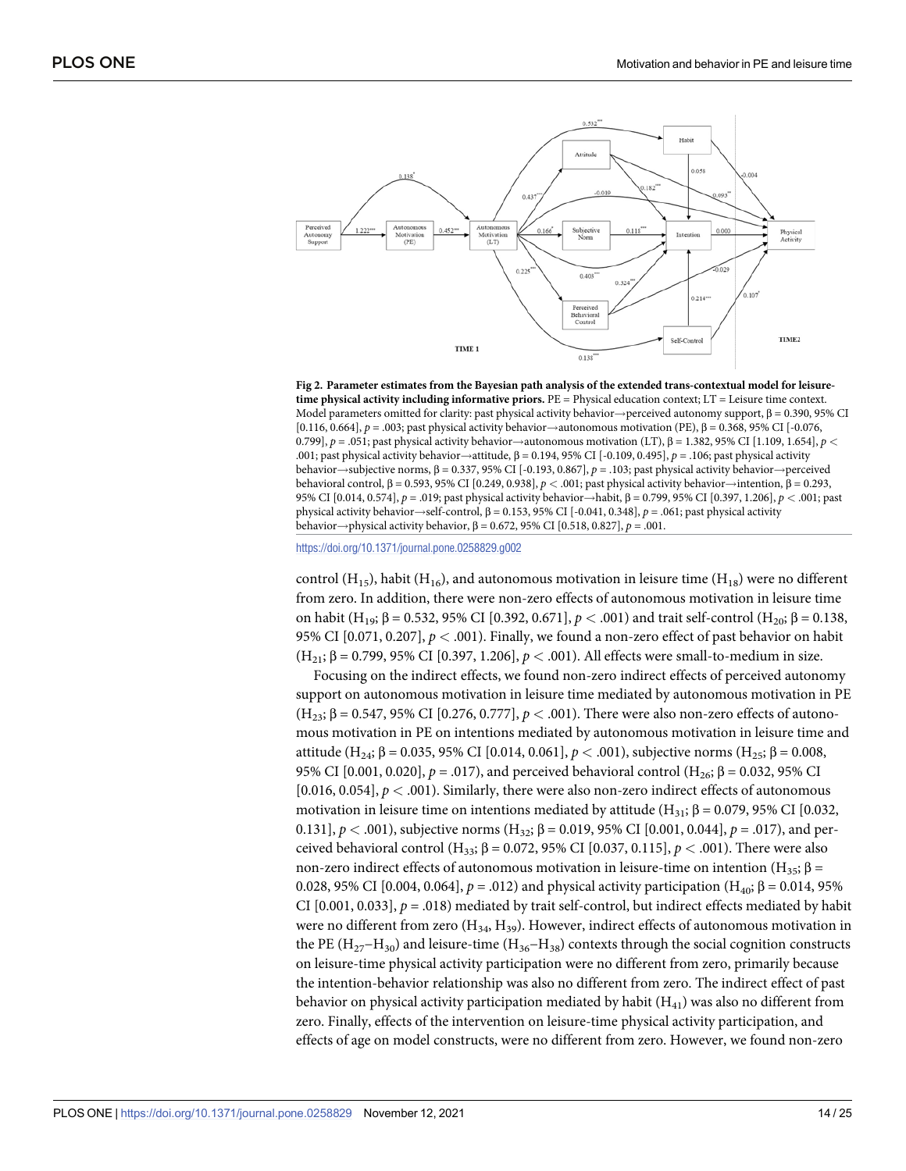<span id="page-13-0"></span>

**[Fig 2. P](#page-10-0)arameter estimates from the Bayesian path analysis of the extended trans-contextual model for leisuretime physical activity including informative priors.** PE = Physical education context; LT = Leisure time context. Model parameters omitted for clarity: past physical activity behavior  $\rightarrow$  perceived autonomy support,  $\beta$  = 0.390, 95% CI [0.116, 0.664], *p* = .003; past physical activity behavior!autonomous motivation (PE), β = 0.368, 95% CI [-0.076, 0.799],  $p = .051$ ; past physical activity behavior $\rightarrow$ autonomous motivation (LT), β = 1.382, 95% CI [1.109, 1.654],  $p <$ .001; past physical activity behavior→attitude, β = 0.194, 95% CI [-0.109, 0.495], *p* = .106; past physical activity behavior→subjective norms, β = 0.337, 95% CI [-0.193, 0.867], *p* = .103; past physical activity behavior→perceived behavioral control, β = 0.593, 95% CI [0.249, 0.938], *p <* .001; past physical activity behavior!intention, β = 0.293, 95% CI [0.014, 0.574], *p* = .019; past physical activity behavior→habit, β = 0.799, 95% CI [0.397, 1.206], *p* < .001; past physical activity behavior!self-control, β = 0.153, 95% CI [-0.041, 0.348], *p* = .061; past physical activity behavior→physical activity behavior,  $β = 0.672$ , 95% CI [0.518, 0.827],  $p = .001$ .

<https://doi.org/10.1371/journal.pone.0258829.g002>

control (H<sub>15</sub>), habit (H<sub>16</sub>), and autonomous motivation in leisure time (H<sub>18</sub>) were no different from zero. In addition, there were non-zero effects of autonomous motivation in leisure time on habit (H<sub>19</sub>; β = 0.532, 95% CI [0.392, 0.671],  $p < .001$ ) and trait self-control (H<sub>20</sub>; β = 0.138, 95% CI [0.071, 0.207], *p <* .001). Finally, we found a non-zero effect of past behavior on habit (H21; β = 0.799, 95% CI [0.397, 1.206], *p <* .001). All effects were small-to-medium in size.

Focusing on the indirect effects, we found non-zero indirect effects of perceived autonomy support on autonomous motivation in leisure time mediated by autonomous motivation in PE (H23; β = 0.547, 95% CI [0.276, 0.777], *p <* .001). There were also non-zero effects of autonomous motivation in PE on intentions mediated by autonomous motivation in leisure time and attitude (H<sub>24</sub>; β = 0.035, 95% CI [0.014, 0.061],  $p < .001$ ), subjective norms (H<sub>25</sub>; β = 0.008, 95% CI [0.001, 0.020],  $p = .017$ ), and perceived behavioral control (H<sub>26</sub>; β = 0.032, 95% CI [0.016, 0.054], *p <* .001). Similarly, there were also non-zero indirect effects of autonomous motivation in leisure time on intentions mediated by attitude (H<sub>31</sub>; β = 0.079, 95% CI [0.032, 0.131],  $p < .001$ ), subjective norms (H<sub>32</sub>; β = 0.019, 95% CI [0.001, 0.044],  $p = .017$ ), and perceived behavioral control (H<sub>33</sub>; β = 0.072, 95% CI [0.037, 0.115],  $p$  < .001). There were also non-zero indirect effects of autonomous motivation in leisure-time on intention (H<sub>35</sub>; β = 0.028, 95% CI [0.004, 0.064],  $p = .012$ ) and physical activity participation (H<sub>40</sub>; β = 0.014, 95% CI  $[0.001, 0.033]$ ,  $p = .018$ ) mediated by trait self-control, but indirect effects mediated by habit were no different from zero  $(H_{34}, H_{39})$ . However, indirect effects of autonomous motivation in the PE (H<sub>27</sub>−H<sub>30</sub>) and leisure-time (H<sub>36</sub>−H<sub>38</sub>) contexts through the social cognition constructs on leisure-time physical activity participation were no different from zero, primarily because the intention-behavior relationship was also no different from zero. The indirect effect of past behavior on physical activity participation mediated by habit  $(H_{41})$  was also no different from zero. Finally, effects of the intervention on leisure-time physical activity participation, and effects of age on model constructs, were no different from zero. However, we found non-zero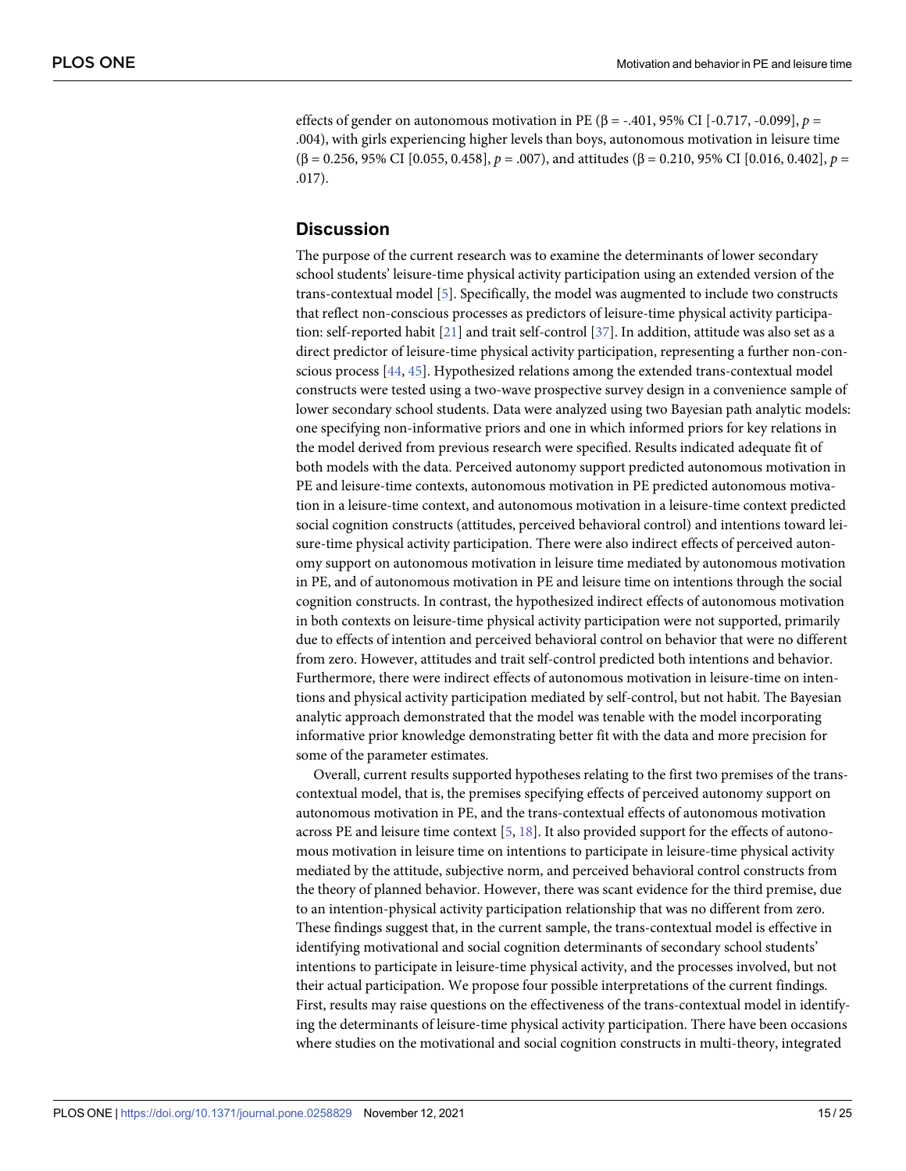effects of gender on autonomous motivation in PE (β = -.401, 95% CI [-0.717, -0.099], *p* = .004), with girls experiencing higher levels than boys, autonomous motivation in leisure time (β = 0.256, 95% CI [0.055, 0.458], *p* = .007), and attitudes (β = 0.210, 95% CI [0.016, 0.402], *p* = .017).

# **Discussion**

The purpose of the current research was to examine the determinants of lower secondary school students' leisure-time physical activity participation using an extended version of the trans-contextual model [\[5](#page-20-0)]. Specifically, the model was augmented to include two constructs that reflect non-conscious processes as predictors of leisure-time physical activity participation: self-reported habit [[21](#page-21-0)] and trait self-control [[37](#page-21-0)]. In addition, attitude was also set as a direct predictor of leisure-time physical activity participation, representing a further non-conscious process [[44](#page-22-0), [45](#page-22-0)]. Hypothesized relations among the extended trans-contextual model constructs were tested using a two-wave prospective survey design in a convenience sample of lower secondary school students. Data were analyzed using two Bayesian path analytic models: one specifying non-informative priors and one in which informed priors for key relations in the model derived from previous research were specified. Results indicated adequate fit of both models with the data. Perceived autonomy support predicted autonomous motivation in PE and leisure-time contexts, autonomous motivation in PE predicted autonomous motivation in a leisure-time context, and autonomous motivation in a leisure-time context predicted social cognition constructs (attitudes, perceived behavioral control) and intentions toward leisure-time physical activity participation. There were also indirect effects of perceived autonomy support on autonomous motivation in leisure time mediated by autonomous motivation in PE, and of autonomous motivation in PE and leisure time on intentions through the social cognition constructs. In contrast, the hypothesized indirect effects of autonomous motivation in both contexts on leisure-time physical activity participation were not supported, primarily due to effects of intention and perceived behavioral control on behavior that were no different from zero. However, attitudes and trait self-control predicted both intentions and behavior. Furthermore, there were indirect effects of autonomous motivation in leisure-time on intentions and physical activity participation mediated by self-control, but not habit. The Bayesian analytic approach demonstrated that the model was tenable with the model incorporating informative prior knowledge demonstrating better fit with the data and more precision for some of the parameter estimates.

Overall, current results supported hypotheses relating to the first two premises of the transcontextual model, that is, the premises specifying effects of perceived autonomy support on autonomous motivation in PE, and the trans-contextual effects of autonomous motivation across PE and leisure time context [[5](#page-20-0), [18](#page-20-0)]. It also provided support for the effects of autonomous motivation in leisure time on intentions to participate in leisure-time physical activity mediated by the attitude, subjective norm, and perceived behavioral control constructs from the theory of planned behavior. However, there was scant evidence for the third premise, due to an intention-physical activity participation relationship that was no different from zero. These findings suggest that, in the current sample, the trans-contextual model is effective in identifying motivational and social cognition determinants of secondary school students' intentions to participate in leisure-time physical activity, and the processes involved, but not their actual participation. We propose four possible interpretations of the current findings. First, results may raise questions on the effectiveness of the trans-contextual model in identifying the determinants of leisure-time physical activity participation. There have been occasions where studies on the motivational and social cognition constructs in multi-theory, integrated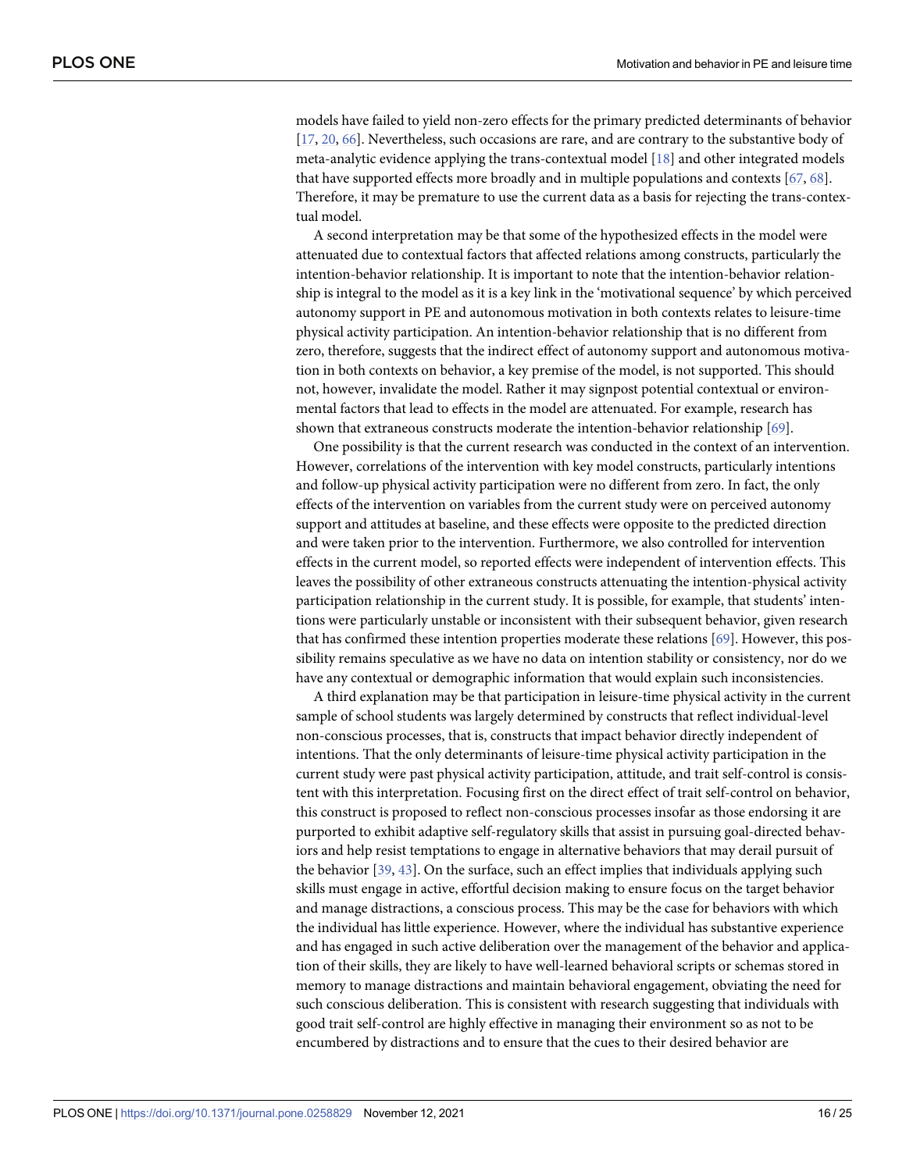<span id="page-15-0"></span>models have failed to yield non-zero effects for the primary predicted determinants of behavior [\[17,](#page-20-0) [20,](#page-20-0) [66\]](#page-23-0). Nevertheless, such occasions are rare, and are contrary to the substantive body of meta-analytic evidence applying the trans-contextual model [\[18\]](#page-20-0) and other integrated models that have supported effects more broadly and in multiple populations and contexts [\[67,](#page-23-0) [68\]](#page-23-0). Therefore, it may be premature to use the current data as a basis for rejecting the trans-contextual model.

A second interpretation may be that some of the hypothesized effects in the model were attenuated due to contextual factors that affected relations among constructs, particularly the intention-behavior relationship. It is important to note that the intention-behavior relationship is integral to the model as it is a key link in the 'motivational sequence' by which perceived autonomy support in PE and autonomous motivation in both contexts relates to leisure-time physical activity participation. An intention-behavior relationship that is no different from zero, therefore, suggests that the indirect effect of autonomy support and autonomous motivation in both contexts on behavior, a key premise of the model, is not supported. This should not, however, invalidate the model. Rather it may signpost potential contextual or environmental factors that lead to effects in the model are attenuated. For example, research has shown that extraneous constructs moderate the intention-behavior relationship [\[69\]](#page-23-0).

One possibility is that the current research was conducted in the context of an intervention. However, correlations of the intervention with key model constructs, particularly intentions and follow-up physical activity participation were no different from zero. In fact, the only effects of the intervention on variables from the current study were on perceived autonomy support and attitudes at baseline, and these effects were opposite to the predicted direction and were taken prior to the intervention. Furthermore, we also controlled for intervention effects in the current model, so reported effects were independent of intervention effects. This leaves the possibility of other extraneous constructs attenuating the intention-physical activity participation relationship in the current study. It is possible, for example, that students' intentions were particularly unstable or inconsistent with their subsequent behavior, given research that has confirmed these intention properties moderate these relations [\[69\]](#page-23-0). However, this possibility remains speculative as we have no data on intention stability or consistency, nor do we have any contextual or demographic information that would explain such inconsistencies.

A third explanation may be that participation in leisure-time physical activity in the current sample of school students was largely determined by constructs that reflect individual-level non-conscious processes, that is, constructs that impact behavior directly independent of intentions. That the only determinants of leisure-time physical activity participation in the current study were past physical activity participation, attitude, and trait self-control is consistent with this interpretation. Focusing first on the direct effect of trait self-control on behavior, this construct is proposed to reflect non-conscious processes insofar as those endorsing it are purported to exhibit adaptive self-regulatory skills that assist in pursuing goal-directed behaviors and help resist temptations to engage in alternative behaviors that may derail pursuit of the behavior [\[39,](#page-21-0) [43\]](#page-22-0). On the surface, such an effect implies that individuals applying such skills must engage in active, effortful decision making to ensure focus on the target behavior and manage distractions, a conscious process. This may be the case for behaviors with which the individual has little experience. However, where the individual has substantive experience and has engaged in such active deliberation over the management of the behavior and application of their skills, they are likely to have well-learned behavioral scripts or schemas stored in memory to manage distractions and maintain behavioral engagement, obviating the need for such conscious deliberation. This is consistent with research suggesting that individuals with good trait self-control are highly effective in managing their environment so as not to be encumbered by distractions and to ensure that the cues to their desired behavior are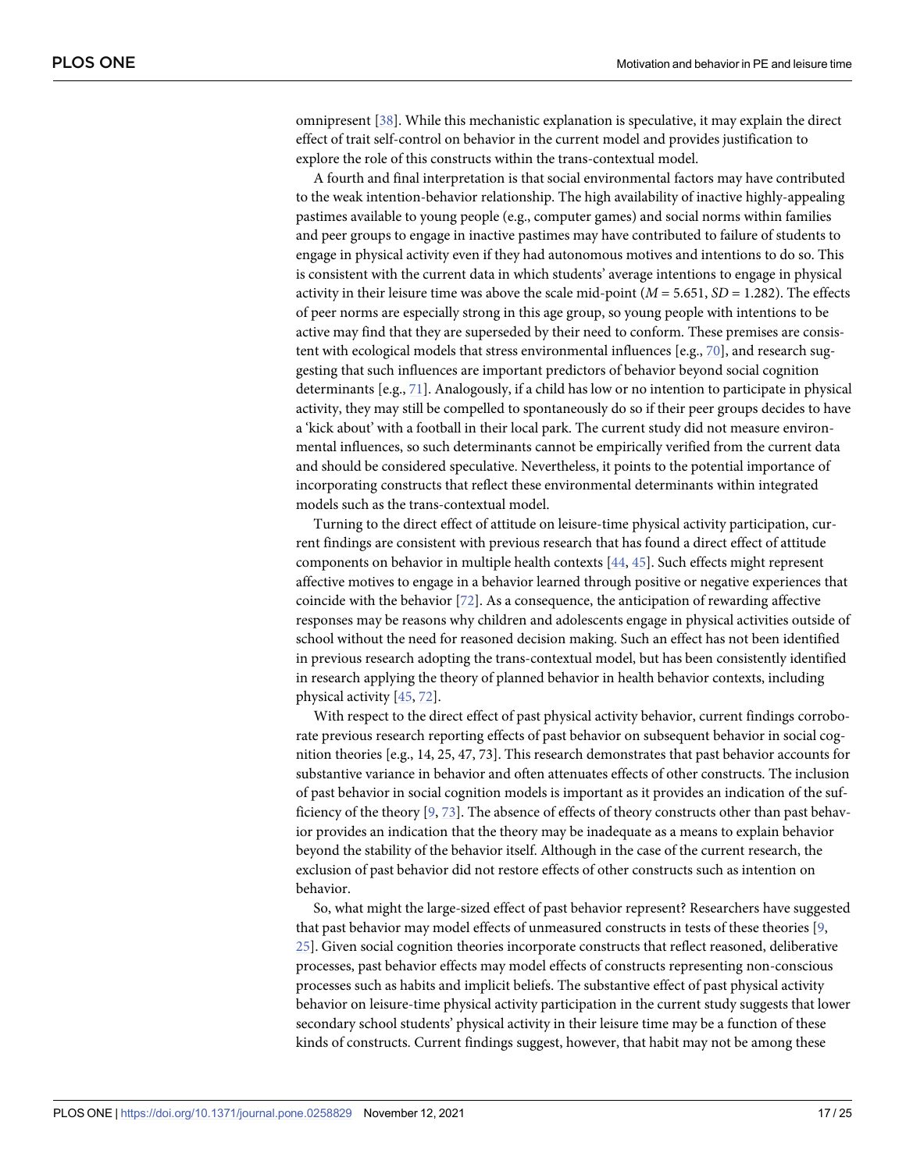<span id="page-16-0"></span>omnipresent [\[38\]](#page-21-0). While this mechanistic explanation is speculative, it may explain the direct effect of trait self-control on behavior in the current model and provides justification to explore the role of this constructs within the trans-contextual model.

A fourth and final interpretation is that social environmental factors may have contributed to the weak intention-behavior relationship. The high availability of inactive highly-appealing pastimes available to young people (e.g., computer games) and social norms within families and peer groups to engage in inactive pastimes may have contributed to failure of students to engage in physical activity even if they had autonomous motives and intentions to do so. This is consistent with the current data in which students' average intentions to engage in physical activity in their leisure time was above the scale mid-point  $(M = 5.651, SD = 1.282)$ . The effects of peer norms are especially strong in this age group, so young people with intentions to be active may find that they are superseded by their need to conform. These premises are consistent with ecological models that stress environmental influences [e.g., [70\]](#page-23-0), and research suggesting that such influences are important predictors of behavior beyond social cognition determinants [e.g., [71\]](#page-23-0). Analogously, if a child has low or no intention to participate in physical activity, they may still be compelled to spontaneously do so if their peer groups decides to have a 'kick about' with a football in their local park. The current study did not measure environmental influences, so such determinants cannot be empirically verified from the current data and should be considered speculative. Nevertheless, it points to the potential importance of incorporating constructs that reflect these environmental determinants within integrated models such as the trans-contextual model.

Turning to the direct effect of attitude on leisure-time physical activity participation, current findings are consistent with previous research that has found a direct effect of attitude components on behavior in multiple health contexts [\[44,](#page-22-0) [45\]](#page-22-0). Such effects might represent affective motives to engage in a behavior learned through positive or negative experiences that coincide with the behavior [\[72\]](#page-23-0). As a consequence, the anticipation of rewarding affective responses may be reasons why children and adolescents engage in physical activities outside of school without the need for reasoned decision making. Such an effect has not been identified in previous research adopting the trans-contextual model, but has been consistently identified in research applying the theory of planned behavior in health behavior contexts, including physical activity [\[45,](#page-22-0) [72\]](#page-23-0).

With respect to the direct effect of past physical activity behavior, current findings corroborate previous research reporting effects of past behavior on subsequent behavior in social cognition theories [e.g., 14, 25, 47, 73]. This research demonstrates that past behavior accounts for substantive variance in behavior and often attenuates effects of other constructs. The inclusion of past behavior in social cognition models is important as it provides an indication of the sufficiency of the theory [\[9](#page-20-0), [73](#page-23-0)]. The absence of effects of theory constructs other than past behavior provides an indication that the theory may be inadequate as a means to explain behavior beyond the stability of the behavior itself. Although in the case of the current research, the exclusion of past behavior did not restore effects of other constructs such as intention on behavior.

So, what might the large-sized effect of past behavior represent? Researchers have suggested that past behavior may model effects of unmeasured constructs in tests of these theories [[9](#page-20-0), [25\]](#page-21-0). Given social cognition theories incorporate constructs that reflect reasoned, deliberative processes, past behavior effects may model effects of constructs representing non-conscious processes such as habits and implicit beliefs. The substantive effect of past physical activity behavior on leisure-time physical activity participation in the current study suggests that lower secondary school students' physical activity in their leisure time may be a function of these kinds of constructs. Current findings suggest, however, that habit may not be among these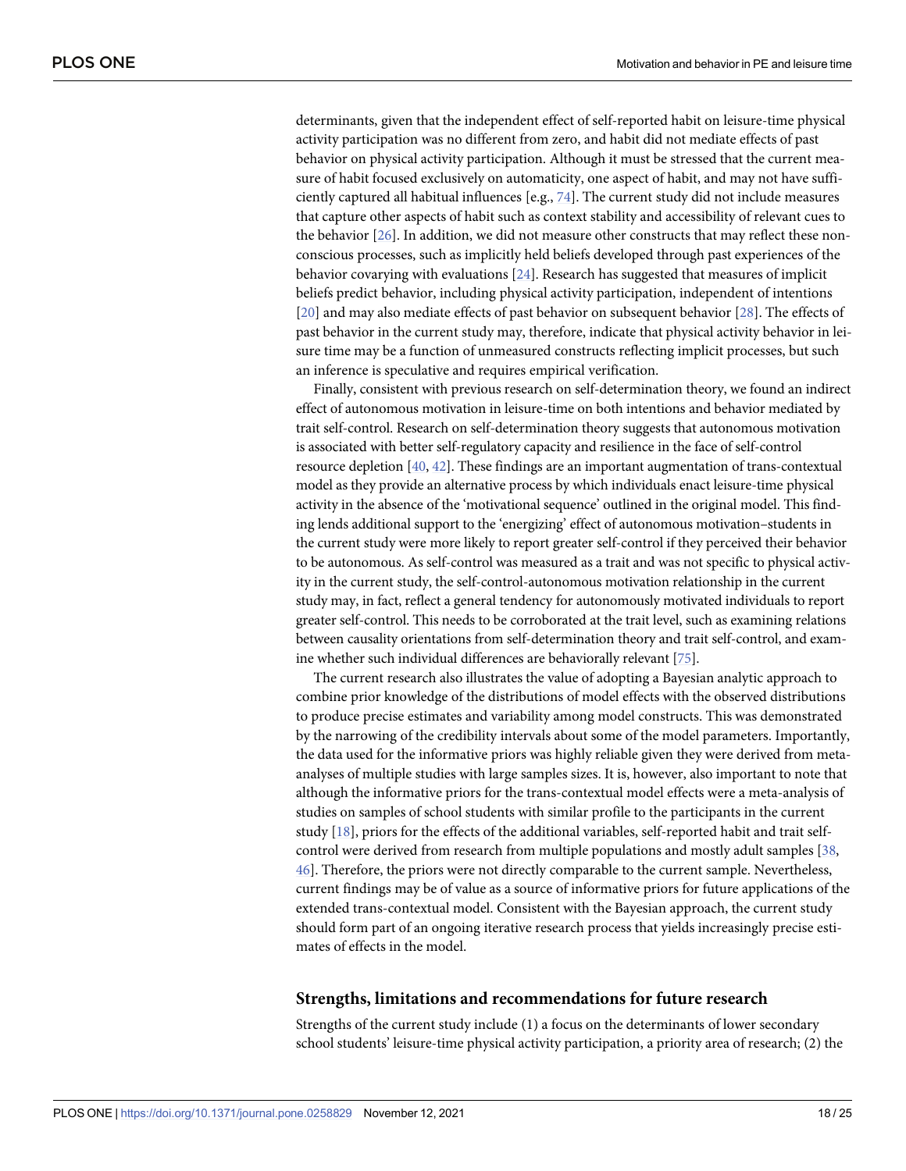<span id="page-17-0"></span>determinants, given that the independent effect of self-reported habit on leisure-time physical activity participation was no different from zero, and habit did not mediate effects of past behavior on physical activity participation. Although it must be stressed that the current measure of habit focused exclusively on automaticity, one aspect of habit, and may not have sufficiently captured all habitual influences [e.g., [74\]](#page-23-0). The current study did not include measures that capture other aspects of habit such as context stability and accessibility of relevant cues to the behavior [\[26\]](#page-21-0). In addition, we did not measure other constructs that may reflect these nonconscious processes, such as implicitly held beliefs developed through past experiences of the behavior covarying with evaluations [\[24\]](#page-21-0). Research has suggested that measures of implicit beliefs predict behavior, including physical activity participation, independent of intentions [\[20\]](#page-20-0) and may also mediate effects of past behavior on subsequent behavior [\[28\]](#page-21-0). The effects of past behavior in the current study may, therefore, indicate that physical activity behavior in leisure time may be a function of unmeasured constructs reflecting implicit processes, but such an inference is speculative and requires empirical verification.

Finally, consistent with previous research on self-determination theory, we found an indirect effect of autonomous motivation in leisure-time on both intentions and behavior mediated by trait self-control. Research on self-determination theory suggests that autonomous motivation is associated with better self-regulatory capacity and resilience in the face of self-control resource depletion [\[40,](#page-22-0) [42\]](#page-22-0). These findings are an important augmentation of trans-contextual model as they provide an alternative process by which individuals enact leisure-time physical activity in the absence of the 'motivational sequence' outlined in the original model. This finding lends additional support to the 'energizing' effect of autonomous motivation–students in the current study were more likely to report greater self-control if they perceived their behavior to be autonomous. As self-control was measured as a trait and was not specific to physical activity in the current study, the self-control-autonomous motivation relationship in the current study may, in fact, reflect a general tendency for autonomously motivated individuals to report greater self-control. This needs to be corroborated at the trait level, such as examining relations between causality orientations from self-determination theory and trait self-control, and examine whether such individual differences are behaviorally relevant [\[75](#page-23-0)].

The current research also illustrates the value of adopting a Bayesian analytic approach to combine prior knowledge of the distributions of model effects with the observed distributions to produce precise estimates and variability among model constructs. This was demonstrated by the narrowing of the credibility intervals about some of the model parameters. Importantly, the data used for the informative priors was highly reliable given they were derived from metaanalyses of multiple studies with large samples sizes. It is, however, also important to note that although the informative priors for the trans-contextual model effects were a meta-analysis of studies on samples of school students with similar profile to the participants in the current study [\[18\]](#page-20-0), priors for the effects of the additional variables, self-reported habit and trait selfcontrol were derived from research from multiple populations and mostly adult samples [[38](#page-21-0), [46\]](#page-22-0). Therefore, the priors were not directly comparable to the current sample. Nevertheless, current findings may be of value as a source of informative priors for future applications of the extended trans-contextual model. Consistent with the Bayesian approach, the current study should form part of an ongoing iterative research process that yields increasingly precise estimates of effects in the model.

#### **Strengths, limitations and recommendations for future research**

Strengths of the current study include (1) a focus on the determinants of lower secondary school students' leisure-time physical activity participation, a priority area of research; (2) the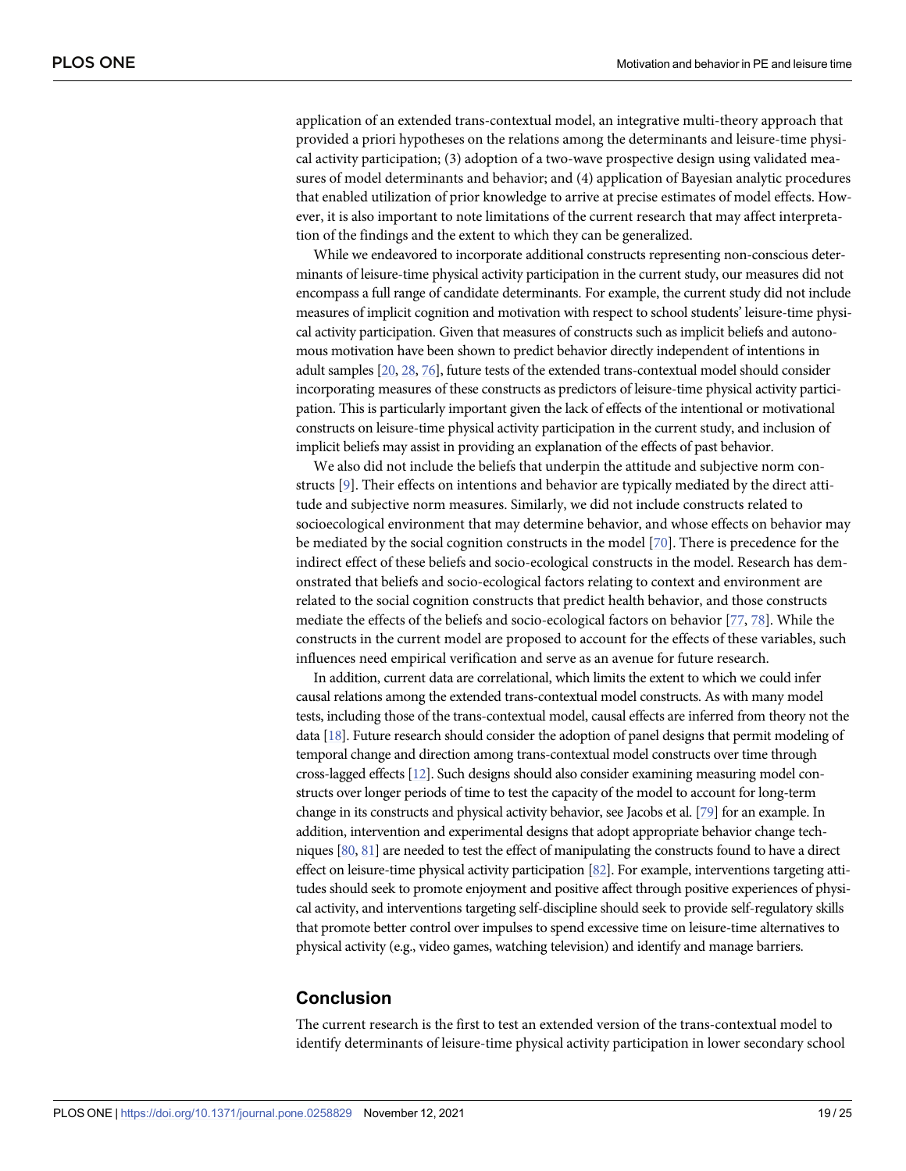<span id="page-18-0"></span>application of an extended trans-contextual model, an integrative multi-theory approach that provided a priori hypotheses on the relations among the determinants and leisure-time physical activity participation; (3) adoption of a two-wave prospective design using validated measures of model determinants and behavior; and (4) application of Bayesian analytic procedures that enabled utilization of prior knowledge to arrive at precise estimates of model effects. However, it is also important to note limitations of the current research that may affect interpretation of the findings and the extent to which they can be generalized.

While we endeavored to incorporate additional constructs representing non-conscious determinants of leisure-time physical activity participation in the current study, our measures did not encompass a full range of candidate determinants. For example, the current study did not include measures of implicit cognition and motivation with respect to school students' leisure-time physical activity participation. Given that measures of constructs such as implicit beliefs and autonomous motivation have been shown to predict behavior directly independent of intentions in adult samples [\[20](#page-20-0), [28,](#page-21-0) [76](#page-23-0)], future tests of the extended trans-contextual model should consider incorporating measures of these constructs as predictors of leisure-time physical activity participation. This is particularly important given the lack of effects of the intentional or motivational constructs on leisure-time physical activity participation in the current study, and inclusion of implicit beliefs may assist in providing an explanation of the effects of past behavior.

We also did not include the beliefs that underpin the attitude and subjective norm constructs [\[9\]](#page-20-0). Their effects on intentions and behavior are typically mediated by the direct attitude and subjective norm measures. Similarly, we did not include constructs related to socioecological environment that may determine behavior, and whose effects on behavior may be mediated by the social cognition constructs in the model [[70](#page-23-0)]. There is precedence for the indirect effect of these beliefs and socio-ecological constructs in the model. Research has demonstrated that beliefs and socio-ecological factors relating to context and environment are related to the social cognition constructs that predict health behavior, and those constructs mediate the effects of the beliefs and socio-ecological factors on behavior [[77](#page-23-0), [78](#page-23-0)]. While the constructs in the current model are proposed to account for the effects of these variables, such influences need empirical verification and serve as an avenue for future research.

In addition, current data are correlational, which limits the extent to which we could infer causal relations among the extended trans-contextual model constructs. As with many model tests, including those of the trans-contextual model, causal effects are inferred from theory not the data [[18\]](#page-20-0). Future research should consider the adoption of panel designs that permit modeling of temporal change and direction among trans-contextual model constructs over time through cross-lagged effects [\[12\]](#page-20-0). Such designs should also consider examining measuring model constructs over longer periods of time to test the capacity of the model to account for long-term change in its constructs and physical activity behavior, see Jacobs et al. [\[79\]](#page-24-0) for an example. In addition, intervention and experimental designs that adopt appropriate behavior change techniques [[80,](#page-24-0) [81](#page-24-0)] are needed to test the effect of manipulating the constructs found to have a direct effect on leisure-time physical activity participation [[82\]](#page-24-0). For example, interventions targeting attitudes should seek to promote enjoyment and positive affect through positive experiences of physical activity, and interventions targeting self-discipline should seek to provide self-regulatory skills that promote better control over impulses to spend excessive time on leisure-time alternatives to physical activity (e.g., video games, watching television) and identify and manage barriers.

# **Conclusion**

The current research is the first to test an extended version of the trans-contextual model to identify determinants of leisure-time physical activity participation in lower secondary school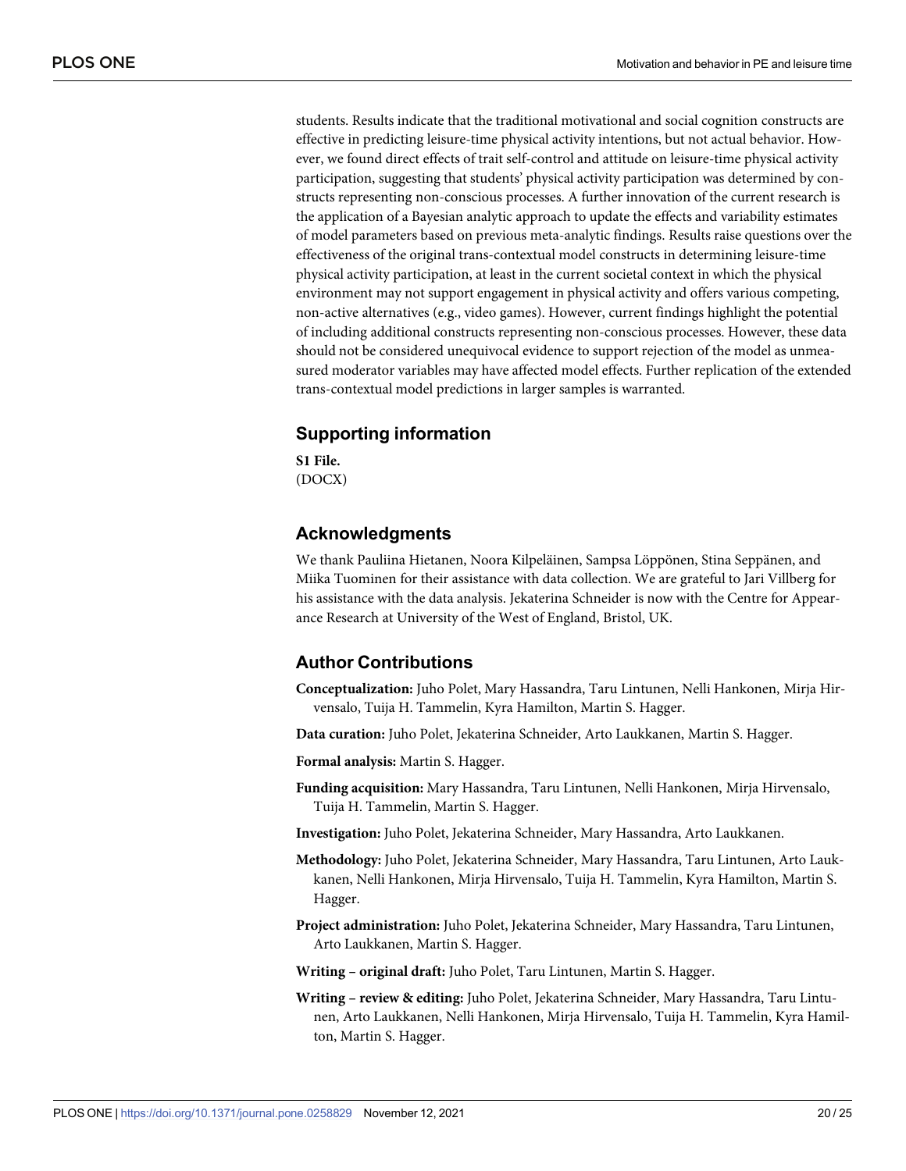<span id="page-19-0"></span>students. Results indicate that the traditional motivational and social cognition constructs are effective in predicting leisure-time physical activity intentions, but not actual behavior. However, we found direct effects of trait self-control and attitude on leisure-time physical activity participation, suggesting that students' physical activity participation was determined by constructs representing non-conscious processes. A further innovation of the current research is the application of a Bayesian analytic approach to update the effects and variability estimates of model parameters based on previous meta-analytic findings. Results raise questions over the effectiveness of the original trans-contextual model constructs in determining leisure-time physical activity participation, at least in the current societal context in which the physical environment may not support engagement in physical activity and offers various competing, non-active alternatives (e.g., video games). However, current findings highlight the potential of including additional constructs representing non-conscious processes. However, these data should not be considered unequivocal evidence to support rejection of the model as unmeasured moderator variables may have affected model effects. Further replication of the extended trans-contextual model predictions in larger samples is warranted.

# **Supporting information**

**[S1 File.](http://www.plosone.org/article/fetchSingleRepresentation.action?uri=info:doi/10.1371/journal.pone.0258829.s001)** (DOCX)

# **Acknowledgments**

We thank Pauliina Hietanen, Noora Kilpeläinen, Sampsa Löppönen, Stina Seppänen, and Miika Tuominen for their assistance with data collection. We are grateful to Jari Villberg for his assistance with the data analysis. Jekaterina Schneider is now with the Centre for Appearance Research at University of the West of England, Bristol, UK.

# **Author Contributions**

**Conceptualization:** Juho Polet, Mary Hassandra, Taru Lintunen, Nelli Hankonen, Mirja Hirvensalo, Tuija H. Tammelin, Kyra Hamilton, Martin S. Hagger.

**Data curation:** Juho Polet, Jekaterina Schneider, Arto Laukkanen, Martin S. Hagger.

**Formal analysis:** Martin S. Hagger.

- **Funding acquisition:** Mary Hassandra, Taru Lintunen, Nelli Hankonen, Mirja Hirvensalo, Tuija H. Tammelin, Martin S. Hagger.
- **Investigation:** Juho Polet, Jekaterina Schneider, Mary Hassandra, Arto Laukkanen.
- **Methodology:** Juho Polet, Jekaterina Schneider, Mary Hassandra, Taru Lintunen, Arto Laukkanen, Nelli Hankonen, Mirja Hirvensalo, Tuija H. Tammelin, Kyra Hamilton, Martin S. Hagger.
- **Project administration:** Juho Polet, Jekaterina Schneider, Mary Hassandra, Taru Lintunen, Arto Laukkanen, Martin S. Hagger.
- **Writing original draft:** Juho Polet, Taru Lintunen, Martin S. Hagger.
- **Writing review & editing:** Juho Polet, Jekaterina Schneider, Mary Hassandra, Taru Lintunen, Arto Laukkanen, Nelli Hankonen, Mirja Hirvensalo, Tuija H. Tammelin, Kyra Hamilton, Martin S. Hagger.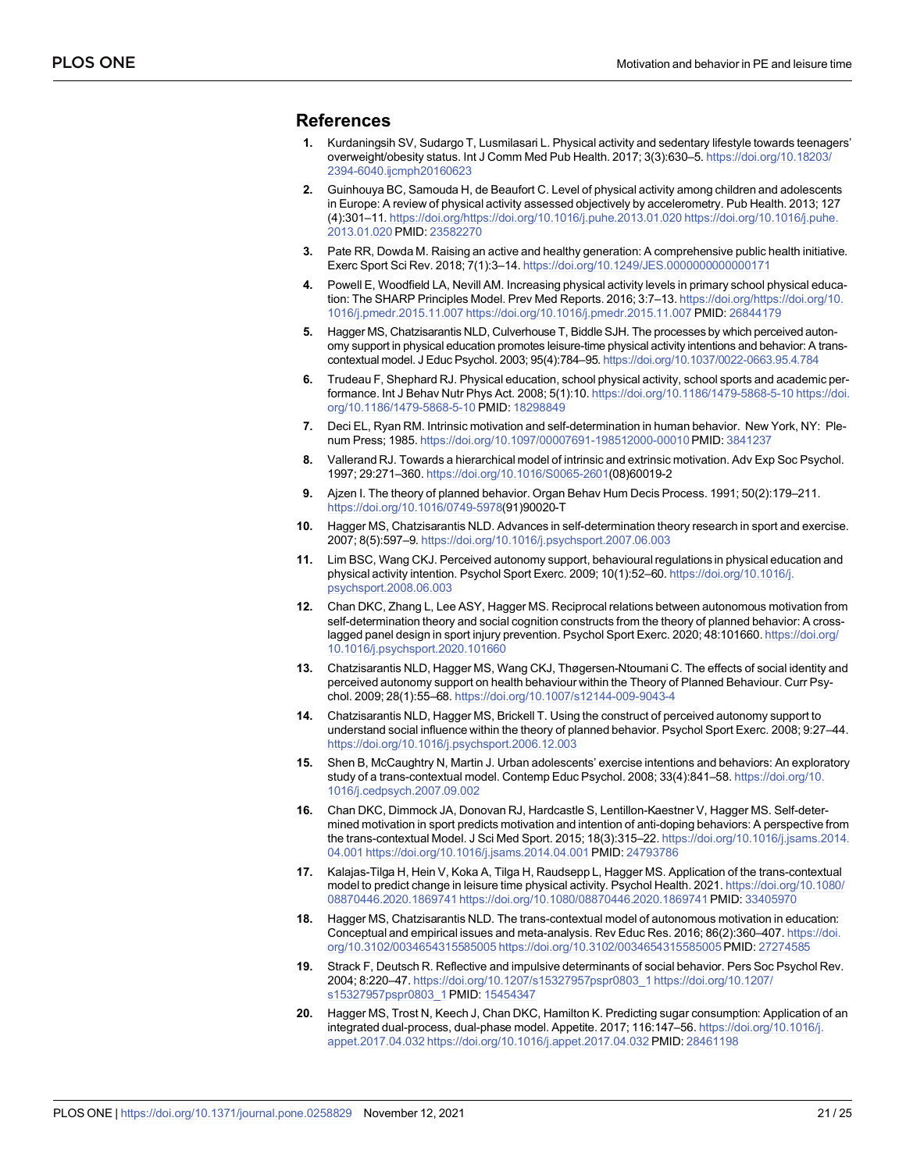## <span id="page-20-0"></span>**References**

- **[1](#page-1-0).** Kurdaningsih SV, Sudargo T, Lusmilasari L. Physical activity and sedentary lifestyle towards teenagers' overweight/obesity status. Int J Comm Med Pub Health. 2017; 3(3):630–5. [https://doi.org/10.18203/](https://doi.org/10.18203/2394-6040.ijcmph20160623) [2394-6040.ijcmph20160623](https://doi.org/10.18203/2394-6040.ijcmph20160623)
- **[2](#page-1-0).** Guinhouya BC, Samouda H, de Beaufort C. Level of physical activity among children and adolescents in Europe: A review of physical activity assessed objectively by accelerometry. Pub Health. 2013; 127 (4):301–11. <https://doi.org/https://doi.org/10.1016/j.puhe.2013.01.020> [https://doi.org/10.1016/j.puhe.](https://doi.org/10.1016/j.puhe.2013.01.020) [2013.01.020](https://doi.org/10.1016/j.puhe.2013.01.020) PMID: [23582270](http://www.ncbi.nlm.nih.gov/pubmed/23582270)
- **[3](#page-1-0).** Pate RR, Dowda M. Raising an active and healthy generation: A comprehensive public health initiative. Exerc Sport Sci Rev. 2018; 7(1):3–14. <https://doi.org/10.1249/JES.0000000000000171>
- **[4](#page-1-0).** Powell E, Woodfield LA, Nevill AM. Increasing physical activity levels in primary school physical education: The SHARP Principles Model. Prev Med Reports. 2016; 3:7–13. [https://doi.org/https://doi.org/10.](https://doi.org/https://doi.org/10.1016/j.pmedr.2015.11.007) [1016/j.pmedr.2015.11.007](https://doi.org/https://doi.org/10.1016/j.pmedr.2015.11.007)<https://doi.org/10.1016/j.pmedr.2015.11.007> PMID: [26844179](http://www.ncbi.nlm.nih.gov/pubmed/26844179)
- **[5](#page-1-0).** Hagger MS, Chatzisarantis NLD, Culverhouse T, Biddle SJH. The processes by which perceived autonomy support in physical education promotes leisure-time physical activity intentions and behavior: A transcontextual model. J Educ Psychol. 2003; 95(4):784–95. <https://doi.org/10.1037/0022-0663.95.4.784>
- **[6](#page-1-0).** Trudeau F, Shephard RJ. Physical education, school physical activity, school sports and academic performance. Int J Behav Nutr Phys Act. 2008; 5(1):10. [https://doi.org/10.1186/1479-5868-5-10 https://doi.](https://doi.org/10.1186/1479-5868-5-10) [org/10.1186/1479-5868-5-10](https://doi.org/10.1186/1479-5868-5-10) PMID: [18298849](http://www.ncbi.nlm.nih.gov/pubmed/18298849)
- **[7](#page-1-0).** Deci EL, Ryan RM. Intrinsic motivation and self-determination in human behavior. New York, NY: Plenum Press; 1985. <https://doi.org/10.1097/00007691-198512000-00010>PMID: [3841237](http://www.ncbi.nlm.nih.gov/pubmed/3841237)
- **[8](#page-1-0).** Vallerand RJ. Towards a hierarchical model of intrinsic and extrinsic motivation. Adv Exp Soc Psychol. 1997; 29:271–360. [https://doi.org/10.1016/S0065-2601\(](https://doi.org/10.1016/S0065-2601)08)60019-2
- **[9](#page-1-0).** Ajzen I. The theory of planned behavior. Organ Behav Hum Decis Process. 1991; 50(2):179–211. <https://doi.org/10.1016/0749-5978>(91)90020-T
- **[10](#page-1-0).** Hagger MS, Chatzisarantis NLD. Advances in self-determination theory research in sport and exercise. 2007; 8(5):597–9. <https://doi.org/10.1016/j.psychsport.2007.06.003>
- **[11](#page-1-0).** Lim BSC, Wang CKJ. Perceived autonomy support, behavioural regulations in physical education and physical activity intention. Psychol Sport Exerc. 2009; 10(1):52–60. [https://doi.org/10.1016/j.](https://doi.org/10.1016/j.psychsport.2008.06.003) [psychsport.2008.06.003](https://doi.org/10.1016/j.psychsport.2008.06.003)
- **[12](#page-2-0).** Chan DKC, Zhang L, Lee ASY, Hagger MS. Reciprocal relations between autonomous motivation from self-determination theory and social cognition constructs from the theory of planned behavior: A crosslagged panel design in sport injury prevention. Psychol Sport Exerc. 2020; 48:101660. [https://doi.org/](https://doi.org/10.1016/j.psychsport.2020.101660) [10.1016/j.psychsport.2020.101660](https://doi.org/10.1016/j.psychsport.2020.101660)
- **13.** Chatzisarantis NLD, Hagger MS, Wang CKJ, Thøgersen-Ntoumani C. The effects of social identity and perceived autonomy support on health behaviour within the Theory of Planned Behaviour. Curr Psychol. 2009; 28(1):55–68. <https://doi.org/10.1007/s12144-009-9043-4>
- **[14](#page-2-0).** Chatzisarantis NLD, Hagger MS, Brickell T. Using the construct of perceived autonomy support to understand social influence within the theory of planned behavior. Psychol Sport Exerc. 2008; 9:27–44. <https://doi.org/10.1016/j.psychsport.2006.12.003>
- **[15](#page-2-0).** Shen B, McCaughtry N, Martin J. Urban adolescents' exercise intentions and behaviors: An exploratory study of a trans-contextual model. Contemp Educ Psychol. 2008; 33(4):841–58. [https://doi.org/10.](https://doi.org/10.1016/j.cedpsych.2007.09.002) [1016/j.cedpsych.2007.09.002](https://doi.org/10.1016/j.cedpsych.2007.09.002)
- **16.** Chan DKC, Dimmock JA, Donovan RJ, Hardcastle S, Lentillon-Kaestner V, Hagger MS. Self-determined motivation in sport predicts motivation and intention of anti-doping behaviors: A perspective from the trans-contextual Model. J Sci Med Sport. 2015; 18(3):315–22. [https://doi.org/10.1016/j.jsams.2014.](https://doi.org/10.1016/j.jsams.2014.04.001) [04.001 https://doi.org/10.1016/j.jsams.2014.04.001](https://doi.org/10.1016/j.jsams.2014.04.001) PMID: [24793786](http://www.ncbi.nlm.nih.gov/pubmed/24793786)
- **[17](#page-2-0).** Kalajas-Tilga H, Hein V, Koka A, Tilga H, Raudsepp L, Hagger MS. Application of the trans-contextual model to predict change in leisure time physical activity. Psychol Health. 2021. [https://doi.org/10.1080/](https://doi.org/10.1080/08870446.2020.1869741) [08870446.2020.1869741 https://doi.org/10.1080/08870446.2020.1869741](https://doi.org/10.1080/08870446.2020.1869741)PMID: [33405970](http://www.ncbi.nlm.nih.gov/pubmed/33405970)
- **[18](#page-2-0).** Hagger MS, Chatzisarantis NLD. The trans-contextual model of autonomous motivation in education: Conceptual and empirical issues and meta-analysis. Rev Educ Res. 2016; 86(2):360–407. [https://doi.](https://doi.org/10.3102/0034654315585005) [org/10.3102/0034654315585005 https://doi.org/10.3102/0034654315585005](https://doi.org/10.3102/0034654315585005)PMID: [27274585](http://www.ncbi.nlm.nih.gov/pubmed/27274585)
- **[19](#page-2-0).** Strack F, Deutsch R. Reflective and impulsive determinants of social behavior. Pers Soc Psychol Rev. 2004; 8:220–47. [https://doi.org/10.1207/s15327957pspr0803\\_1 https://doi.org/10.1207/](https://doi.org/10.1207/s15327957pspr0803_1) [s15327957pspr0803\\_1](https://doi.org/10.1207/s15327957pspr0803_1)PMID: [15454347](http://www.ncbi.nlm.nih.gov/pubmed/15454347)
- **[20](#page-2-0).** Hagger MS, Trost N, Keech J, Chan DKC, Hamilton K. Predicting sugar consumption: Application of an integrated dual-process, dual-phase model. Appetite. 2017; 116:147–56. [https://doi.org/10.1016/j.](https://doi.org/10.1016/j.appet.2017.04.032) [appet.2017.04.032 https://doi.org/10.1016/j.appet.2017.04.032](https://doi.org/10.1016/j.appet.2017.04.032) PMID: [28461198](http://www.ncbi.nlm.nih.gov/pubmed/28461198)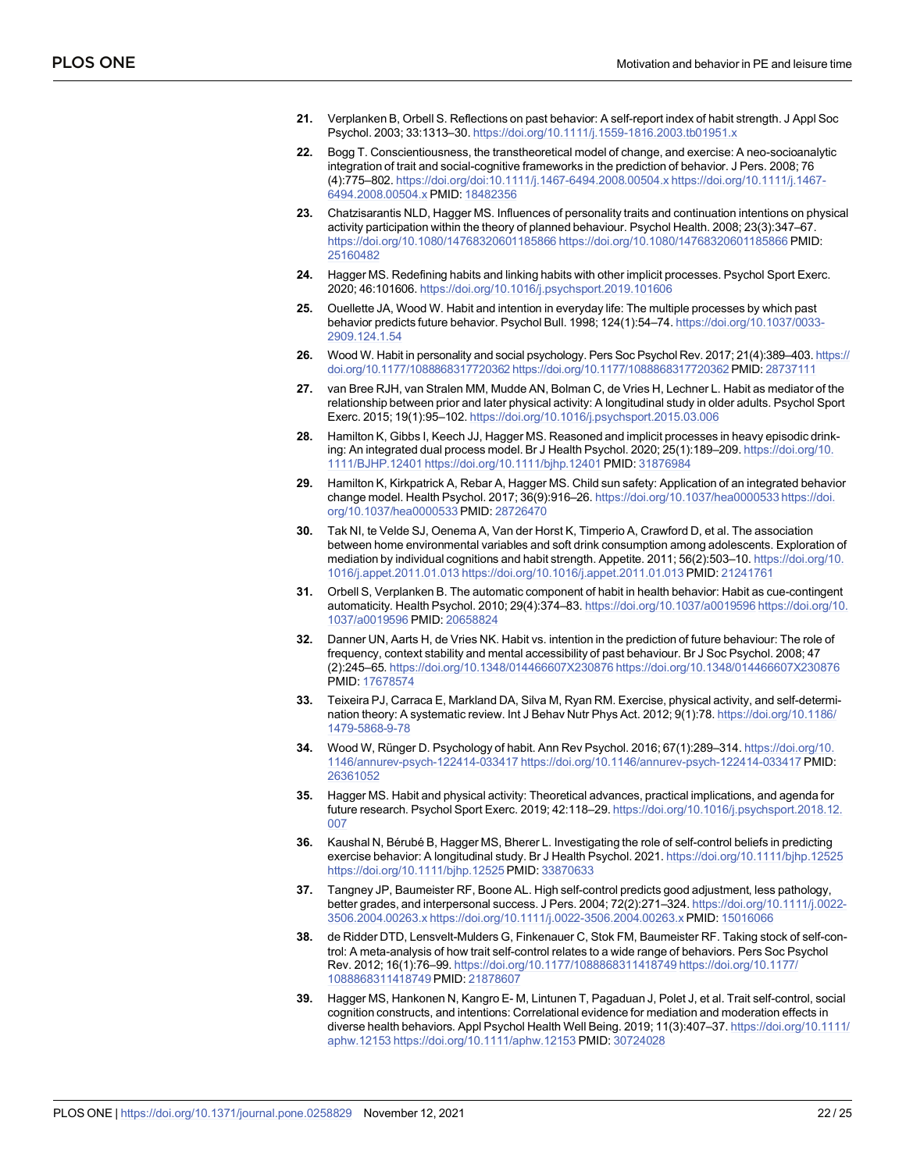- <span id="page-21-0"></span>**[21](#page-3-0).** Verplanken B, Orbell S. Reflections on past behavior: A self-report index of habit strength. J Appl Soc Psychol. 2003; 33:1313–30. <https://doi.org/10.1111/j.1559-1816.2003.tb01951.x>
- **22.** Bogg T. Conscientiousness, the transtheoretical model of change, and exercise: A neo-socioanalytic integration of trait and social-cognitive frameworks in the prediction of behavior. J Pers. 2008; 76 (4):775–802. <https://doi.org/doi:10.1111/j.1467-6494.2008.00504.x> [https://doi.org/10.1111/j.1467-](https://doi.org/10.1111/j.1467-6494.2008.00504.x) [6494.2008.00504.x](https://doi.org/10.1111/j.1467-6494.2008.00504.x) PMID: [18482356](http://www.ncbi.nlm.nih.gov/pubmed/18482356)
- **[23](#page-2-0).** Chatzisarantis NLD, Hagger MS. Influences of personality traits and continuation intentions on physical activity participation within the theory of planned behaviour. Psychol Health. 2008; 23(3):347–67. [https://doi.org/10.1080/14768320601185866 https://doi.org/10.1080/14768320601185866](https://doi.org/10.1080/14768320601185866) PMID: [25160482](http://www.ncbi.nlm.nih.gov/pubmed/25160482)
- **[24](#page-2-0).** Hagger MS. Redefining habits and linking habits with other implicit processes. Psychol Sport Exerc. 2020; 46:101606. <https://doi.org/10.1016/j.psychsport.2019.101606>
- **[25](#page-3-0).** Ouellette JA, Wood W. Habit and intention in everyday life: The multiple processes by which past behavior predicts future behavior. Psychol Bull. 1998; 124(1):54–74. [https://doi.org/10.1037/0033-](https://doi.org/10.1037/0033-2909.124.1.54) [2909.124.1.54](https://doi.org/10.1037/0033-2909.124.1.54)
- **[26](#page-3-0).** Wood W. Habit in personality and social psychology. Pers Soc Psychol Rev. 2017; 21(4):389–403. [https://](https://doi.org/10.1177/1088868317720362) [doi.org/10.1177/1088868317720362 https://doi.org/10.1177/1088868317720362](https://doi.org/10.1177/1088868317720362)PMID: [28737111](http://www.ncbi.nlm.nih.gov/pubmed/28737111)
- **[27](#page-3-0).** van Bree RJH, van Stralen MM, Mudde AN, Bolman C, de Vries H, Lechner L. Habit as mediator of the relationship between prior and later physical activity: A longitudinal study in older adults. Psychol Sport Exerc. 2015; 19(1):95–102. <https://doi.org/10.1016/j.psychsport.2015.03.006>
- **[28](#page-17-0).** Hamilton K, Gibbs I, Keech JJ, Hagger MS. Reasoned and implicit processes in heavy episodic drinking: An integrated dual process model. Br J Health Psychol. 2020; 25(1):189–209. [https://doi.org/10.](https://doi.org/10.1111/BJHP.12401) [1111/BJHP.12401](https://doi.org/10.1111/BJHP.12401)<https://doi.org/10.1111/bjhp.12401> PMID: [31876984](http://www.ncbi.nlm.nih.gov/pubmed/31876984)
- **29.** Hamilton K, Kirkpatrick A, Rebar A, Hagger MS. Child sun safety: Application of an integrated behavior change model. Health Psychol. 2017; 36(9):916–26. [https://doi.org/10.1037/hea0000533 https://doi.](https://doi.org/10.1037/hea0000533) [org/10.1037/hea0000533](https://doi.org/10.1037/hea0000533)PMID: [28726470](http://www.ncbi.nlm.nih.gov/pubmed/28726470)
- **[30](#page-3-0).** Tak NI, te Velde SJ, Oenema A, Van der Horst K, Timperio A, Crawford D, et al. The association between home environmental variables and soft drink consumption among adolescents. Exploration of mediation by individual cognitions and habit strength. Appetite. 2011; 56(2):503–10. [https://doi.org/10.](https://doi.org/10.1016/j.appet.2011.01.013) [1016/j.appet.2011.01.013 https://doi.org/10.1016/j.appet.2011.01.013](https://doi.org/10.1016/j.appet.2011.01.013) PMID: [21241761](http://www.ncbi.nlm.nih.gov/pubmed/21241761)
- **[31](#page-3-0).** Orbell S, Verplanken B. The automatic component of habit in health behavior: Habit as cue-contingent automaticity. Health Psychol. 2010; 29(4):374–83. [https://doi.org/10.1037/a0019596 https://doi.org/10.](https://doi.org/10.1037/a0019596) [1037/a0019596](https://doi.org/10.1037/a0019596) PMID: [20658824](http://www.ncbi.nlm.nih.gov/pubmed/20658824)
- **[32](#page-3-0).** Danner UN, Aarts H, de Vries NK. Habit vs. intention in the prediction of future behaviour: The role of frequency, context stability and mental accessibility of past behaviour. Br J Soc Psychol. 2008; 47 (2):245–65. [https://doi.org/10.1348/014466607X230876 https://doi.org/10.1348/014466607X230876](https://doi.org/10.1348/014466607X230876) PMID: [17678574](http://www.ncbi.nlm.nih.gov/pubmed/17678574)
- **[33](#page-3-0).** Teixeira PJ, Carraca E, Markland DA, Silva M, Ryan RM. Exercise, physical activity, and self-determination theory: A systematic review. Int J Behav Nutr Phys Act. 2012; 9(1):78. [https://doi.org/10.1186/](https://doi.org/10.1186/1479-5868-9-78) [1479-5868-9-78](https://doi.org/10.1186/1479-5868-9-78)
- **[34](#page-3-0).** Wood W, Rünger D. Psychology of habit. Ann Rev Psychol. 2016; 67(1):289-314. [https://doi.org/10.](https://doi.org/10.1146/annurev-psych-122414-033417) [1146/annurev-psych-122414-033417 https://doi.org/10.1146/annurev-psych-122414-033417](https://doi.org/10.1146/annurev-psych-122414-033417) PMID: [26361052](http://www.ncbi.nlm.nih.gov/pubmed/26361052)
- **[35](#page-3-0).** Hagger MS. Habit and physical activity: Theoretical advances, practical implications, and agenda for future research. Psychol Sport Exerc. 2019; 42:118–29. [https://doi.org/10.1016/j.psychsport.2018.12.](https://doi.org/10.1016/j.psychsport.2018.12.007) [007](https://doi.org/10.1016/j.psychsport.2018.12.007)
- **[36](#page-3-0).** Kaushal N, Bérubé B, Hagger MS, Bherer L. Investigating the role of self-control beliefs in predicting exercise behavior: A longitudinal study. Br J Health Psychol. 2021. <https://doi.org/10.1111/bjhp.12525> <https://doi.org/10.1111/bjhp.12525> PMID: [33870633](http://www.ncbi.nlm.nih.gov/pubmed/33870633)
- **[37](#page-3-0).** Tangney JP, Baumeister RF, Boone AL. High self-control predicts good adjustment, less pathology, better grades, and interpersonal success. J Pers. 2004; 72(2):271–324. [https://doi.org/10.1111/j.0022-](https://doi.org/10.1111/j.0022-3506.2004.00263.x) [3506.2004.00263.x https://doi.org/10.1111/j.0022-3506.2004.00263.x](https://doi.org/10.1111/j.0022-3506.2004.00263.x) PMID: [15016066](http://www.ncbi.nlm.nih.gov/pubmed/15016066)
- **[38](#page-3-0).** de Ridder DTD, Lensvelt-Mulders G, Finkenauer C, Stok FM, Baumeister RF. Taking stock of self-control: A meta-analysis of how trait self-control relates to a wide range of behaviors. Pers Soc Psychol Rev. 2012; 16(1):76–99. [https://doi.org/10.1177/1088868311418749 https://doi.org/10.1177/](https://doi.org/10.1177/1088868311418749) [1088868311418749](https://doi.org/10.1177/1088868311418749) PMID: [21878607](http://www.ncbi.nlm.nih.gov/pubmed/21878607)
- **[39](#page-3-0).** Hagger MS, Hankonen N, Kangro E- M, Lintunen T, Pagaduan J, Polet J, et al. Trait self-control, social cognition constructs, and intentions: Correlational evidence for mediation and moderation effects in diverse health behaviors. Appl Psychol Health Well Being. 2019; 11(3):407–37. [https://doi.org/10.1111/](https://doi.org/10.1111/aphw.12153) [aphw.12153 https://doi.org/10.1111/aphw.12153](https://doi.org/10.1111/aphw.12153) PMID: [30724028](http://www.ncbi.nlm.nih.gov/pubmed/30724028)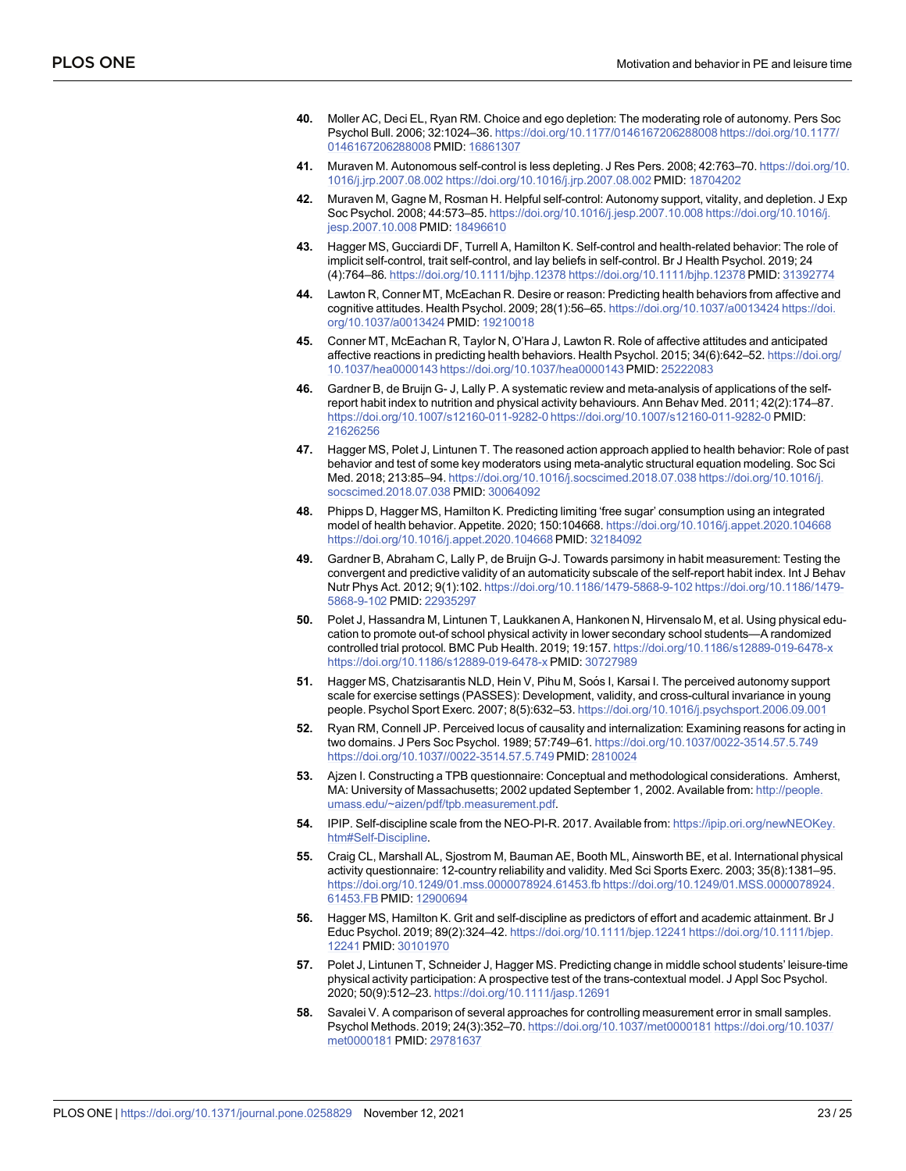- <span id="page-22-0"></span>**[40](#page-3-0).** Moller AC, Deci EL, Ryan RM. Choice and ego depletion: The moderating role of autonomy. Pers Soc Psychol Bull. 2006; 32:1024–36. [https://doi.org/10.1177/0146167206288008 https://doi.org/10.1177/](https://doi.org/10.1177/0146167206288008) [0146167206288008](https://doi.org/10.1177/0146167206288008) PMID: [16861307](http://www.ncbi.nlm.nih.gov/pubmed/16861307)
- **41.** Muraven M. Autonomous self-control is less depleting. J Res Pers. 2008; 42:763–70. [https://doi.org/10.](https://doi.org/10.1016/j.jrp.2007.08.002) [1016/j.jrp.2007.08.002 https://doi.org/10.1016/j.jrp.2007.08.002](https://doi.org/10.1016/j.jrp.2007.08.002) PMID: [18704202](http://www.ncbi.nlm.nih.gov/pubmed/18704202)
- **[42](#page-3-0).** Muraven M, Gagne M, Rosman H. Helpful self-control: Autonomy support, vitality, and depletion. J Exp Soc Psychol. 2008; 44:573–85. [https://doi.org/10.1016/j.jesp.2007.10.008 https://doi.org/10.1016/j.](https://doi.org/10.1016/j.jesp.2007.10.008) [jesp.2007.10.008](https://doi.org/10.1016/j.jesp.2007.10.008) PMID: [18496610](http://www.ncbi.nlm.nih.gov/pubmed/18496610)
- **[43](#page-3-0).** Hagger MS, Gucciardi DF, Turrell A, Hamilton K. Self-control and health-related behavior: The role of implicit self-control, trait self-control, and lay beliefs in self-control. Br J Health Psychol. 2019; 24 (4):764–86. [https://doi.org/10.1111/bjhp.12378 https://doi.org/10.1111/bjhp.12378](https://doi.org/10.1111/bjhp.12378) PMID: [31392774](http://www.ncbi.nlm.nih.gov/pubmed/31392774)
- **[44](#page-4-0).** Lawton R, Conner MT, McEachan R. Desire or reason: Predicting health behaviors from affective and cognitive attitudes. Health Psychol. 2009; 28(1):56–65. [https://doi.org/10.1037/a0013424 https://doi.](https://doi.org/10.1037/a0013424) [org/10.1037/a0013424](https://doi.org/10.1037/a0013424) PMID: [19210018](http://www.ncbi.nlm.nih.gov/pubmed/19210018)
- **[45](#page-4-0).** Conner MT, McEachan R, Taylor N, O'Hara J, Lawton R. Role of affective attitudes and anticipated affective reactions in predicting health behaviors. Health Psychol. 2015; 34(6):642–52. [https://doi.org/](https://doi.org/10.1037/hea0000143) [10.1037/hea0000143 https://doi.org/10.1037/hea0000143](https://doi.org/10.1037/hea0000143)PMID: [25222083](http://www.ncbi.nlm.nih.gov/pubmed/25222083)
- **[46](#page-4-0).** Gardner B, de Bruijn G- J, Lally P. A systematic review and meta-analysis of applications of the selfreport habit index to nutrition and physical activity behaviours. Ann Behav Med. 2011; 42(2):174–87. [https://doi.org/10.1007/s12160-011-9282-0 https://doi.org/10.1007/s12160-011-9282-0](https://doi.org/10.1007/s12160-011-9282-0) PMID: [21626256](http://www.ncbi.nlm.nih.gov/pubmed/21626256)
- **[47](#page-4-0).** Hagger MS, Polet J, Lintunen T. The reasoned action approach applied to health behavior: Role of past behavior and test of some key moderators using meta-analytic structural equation modeling. Soc Sci Med. 2018; 213:85–94. [https://doi.org/10.1016/j.socscimed.2018.07.038 https://doi.org/10.1016/j.](https://doi.org/10.1016/j.socscimed.2018.07.038) [socscimed.2018.07.038](https://doi.org/10.1016/j.socscimed.2018.07.038) PMID: [30064092](http://www.ncbi.nlm.nih.gov/pubmed/30064092)
- **[48](#page-4-0).** Phipps D, Hagger MS, Hamilton K. Predicting limiting 'free sugar' consumption using an integrated model of health behavior. Appetite. 2020; 150:104668. <https://doi.org/10.1016/j.appet.2020.104668> <https://doi.org/10.1016/j.appet.2020.104668>PMID: [32184092](http://www.ncbi.nlm.nih.gov/pubmed/32184092)
- **[49](#page-7-0).** Gardner B, Abraham C, Lally P, de Bruijn G-J. Towards parsimony in habit measurement: Testing the convergent and predictive validity of an automaticity subscale of the self-report habit index. Int J Behav Nutr Phys Act. 2012; 9(1):102. [https://doi.org/10.1186/1479-5868-9-102 https://doi.org/10.1186/1479-](https://doi.org/10.1186/1479-5868-9-102) [5868-9-102](https://doi.org/10.1186/1479-5868-9-102) PMID: [22935297](http://www.ncbi.nlm.nih.gov/pubmed/22935297)
- **[50](#page-5-0).** Polet J, Hassandra M, Lintunen T, Laukkanen A, Hankonen N, Hirvensalo M, et al. Using physical education to promote out-of school physical activity in lower secondary school students—A randomized controlled trial protocol. BMC Pub Health. 2019; 19:157. <https://doi.org/10.1186/s12889-019-6478-x> <https://doi.org/10.1186/s12889-019-6478-x> PMID: [30727989](http://www.ncbi.nlm.nih.gov/pubmed/30727989)
- **[51](#page-5-0).** Hagger MS, Chatzisarantis NLD, Hein V, Pihu M, Soós I, Karsai I. The perceived autonomy support scale for exercise settings (PASSES): Development, validity, and cross-cultural invariance in young people. Psychol Sport Exerc. 2007; 8(5):632–53. <https://doi.org/10.1016/j.psychsport.2006.09.001>
- **[52](#page-5-0).** Ryan RM, Connell JP. Perceived locus of causality and internalization: Examining reasons for acting in two domains. J Pers Soc Psychol. 1989; 57:749–61. <https://doi.org/10.1037/0022-3514.57.5.749> <https://doi.org/10.1037//0022-3514.57.5.749> PMID: [2810024](http://www.ncbi.nlm.nih.gov/pubmed/2810024)
- **[53](#page-5-0).** Ajzen I. Constructing a TPB questionnaire: Conceptual and methodological considerations. Amherst, MA: University of Massachusetts; 2002 updated September 1, 2002. Available from: [http://people.](http://people.umass.edu/~aizen/pdf/tpb.measurement.pdf) [umass.edu/~aizen/pdf/tpb.measurement.pdf](http://people.umass.edu/~aizen/pdf/tpb.measurement.pdf).
- **[54](#page-5-0).** IPIP. Self-discipline scale from the NEO-PI-R. 2017. Available from: [https://ipip.ori.org/newNEOKey.](https://ipip.ori.org/newNEOKey.htm#Self-Discipline) [htm#Self-Discipline.](https://ipip.ori.org/newNEOKey.htm#Self-Discipline)
- **[55](#page-5-0).** Craig CL, Marshall AL, Sjostrom M, Bauman AE, Booth ML, Ainsworth BE, et al. International physical activity questionnaire: 12-country reliability and validity. Med Sci Sports Exerc. 2003; 35(8):1381–95. <https://doi.org/10.1249/01.mss.0000078924.61453.fb> [https://doi.org/10.1249/01.MSS.0000078924.](https://doi.org/10.1249/01.MSS.0000078924.61453.FB) [61453.FB](https://doi.org/10.1249/01.MSS.0000078924.61453.FB) PMID: [12900694](http://www.ncbi.nlm.nih.gov/pubmed/12900694)
- **[56](#page-7-0).** Hagger MS, Hamilton K. Grit and self-discipline as predictors of effort and academic attainment. Br J Educ Psychol. 2019; 89(2):324–42. [https://doi.org/10.1111/bjep.12241 https://doi.org/10.1111/bjep.](https://doi.org/10.1111/bjep.12241) [12241](https://doi.org/10.1111/bjep.12241) PMID: [30101970](http://www.ncbi.nlm.nih.gov/pubmed/30101970)
- **[57](#page-7-0).** Polet J, Lintunen T, Schneider J, Hagger MS. Predicting change in middle school students' leisure-time physical activity participation: A prospective test of the trans-contextual model. J Appl Soc Psychol. 2020; 50(9):512–23. <https://doi.org/10.1111/jasp.12691>
- **[58](#page-7-0).** Savalei V. A comparison of several approaches for controlling measurement error in small samples. Psychol Methods. 2019; 24(3):352–70. [https://doi.org/10.1037/met0000181 https://doi.org/10.1037/](https://doi.org/10.1037/met0000181) [met0000181](https://doi.org/10.1037/met0000181) PMID: [29781637](http://www.ncbi.nlm.nih.gov/pubmed/29781637)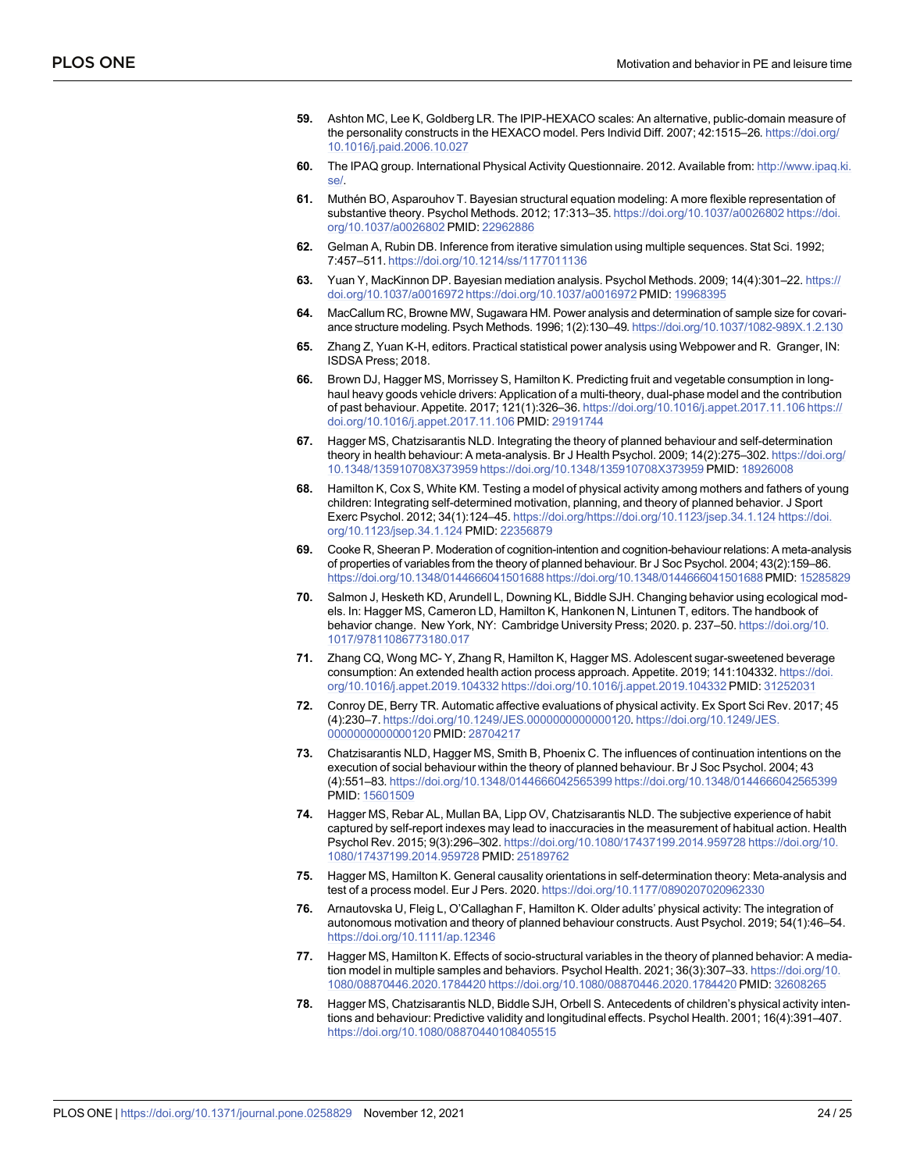- <span id="page-23-0"></span>**[59](#page-8-0).** Ashton MC, Lee K, Goldberg LR. The IPIP-HEXACO scales: An alternative, public-domain measure of the personality constructs in the HEXACO model. Pers Individ Diff. 2007; 42:1515–26. [https://doi.org/](https://doi.org/10.1016/j.paid.2006.10.027) [10.1016/j.paid.2006.10.027](https://doi.org/10.1016/j.paid.2006.10.027)
- **[60](#page-8-0).** The IPAQ group. International Physical Activity Questionnaire. 2012. Available from: [http://www.ipaq.ki.](http://www.ipaq.ki.se/) [se/](http://www.ipaq.ki.se/).
- **[61](#page-9-0).** Muthén BO, Asparouhov T. Bayesian structural equation modeling: A more flexible representation of substantive theory. Psychol Methods. 2012; 17:313–35. [https://doi.org/10.1037/a0026802 https://doi.](https://doi.org/10.1037/a0026802) [org/10.1037/a0026802](https://doi.org/10.1037/a0026802) PMID: [22962886](http://www.ncbi.nlm.nih.gov/pubmed/22962886)
- **[62](#page-9-0).** Gelman A, Rubin DB. Inference from iterative simulation using multiple sequences. Stat Sci. 1992; 7:457–511. <https://doi.org/10.1214/ss/1177011136>
- **[63](#page-9-0).** Yuan Y, MacKinnon DP. Bayesian mediation analysis. Psychol Methods. 2009; 14(4):301–22. [https://](https://doi.org/10.1037/a0016972) [doi.org/10.1037/a0016972 https://doi.org/10.1037/a0016972](https://doi.org/10.1037/a0016972) PMID: [19968395](http://www.ncbi.nlm.nih.gov/pubmed/19968395)
- **[64](#page-10-0).** MacCallum RC, Browne MW, Sugawara HM. Power analysis and determination of sample size for covariance structure modeling. Psych Methods. 1996; 1(2):130–49. <https://doi.org/10.1037/1082-989X.1.2.130>
- **[65](#page-10-0).** Zhang Z, Yuan K-H, editors. Practical statistical power analysis using Webpower and R. Granger, IN: ISDSA Press; 2018.
- **[66](#page-15-0).** Brown DJ, Hagger MS, Morrissey S, Hamilton K. Predicting fruit and vegetable consumption in longhaul heavy goods vehicle drivers: Application of a multi-theory, dual-phase model and the contribution of past behaviour. Appetite. 2017; 121(1):326–36. [https://doi.org/10.1016/j.appet.2017.11.106 https://](https://doi.org/10.1016/j.appet.2017.11.106) [doi.org/10.1016/j.appet.2017.11.106](https://doi.org/10.1016/j.appet.2017.11.106) PMID: [29191744](http://www.ncbi.nlm.nih.gov/pubmed/29191744)
- **[67](#page-15-0).** Hagger MS, Chatzisarantis NLD. Integrating the theory of planned behaviour and self-determination theory in health behaviour: A meta-analysis. Br J Health Psychol. 2009; 14(2):275–302. [https://doi.org/](https://doi.org/10.1348/135910708X373959) [10.1348/135910708X373959 https://doi.org/10.1348/135910708X373959](https://doi.org/10.1348/135910708X373959) PMID: [18926008](http://www.ncbi.nlm.nih.gov/pubmed/18926008)
- **[68](#page-15-0).** Hamilton K, Cox S, White KM. Testing a model of physical activity among mothers and fathers of young children: Integrating self-determined motivation, planning, and theory of planned behavior. J Sport Exerc Psychol. 2012; 34(1):124–45. <https://doi.org/https://doi.org/10.1123/jsep.34.1.124> [https://doi.](https://doi.org/10.1123/jsep.34.1.124) [org/10.1123/jsep.34.1.124](https://doi.org/10.1123/jsep.34.1.124) PMID: [22356879](http://www.ncbi.nlm.nih.gov/pubmed/22356879)
- **[69](#page-15-0).** Cooke R, Sheeran P. Moderation of cognition-intention and cognition-behaviour relations: A meta-analysis of properties of variables from the theory of planned behaviour. Br J Soc Psychol. 2004; 43(2):159–86. [https://doi.org/10.1348/0144666041501688 https://doi.org/10.1348/0144666041501688](https://doi.org/10.1348/0144666041501688)PMID: [15285829](http://www.ncbi.nlm.nih.gov/pubmed/15285829)
- **[70](#page-16-0).** Salmon J, Hesketh KD, Arundell L, Downing KL, Biddle SJH. Changing behavior using ecological models. In: Hagger MS, Cameron LD, Hamilton K, Hankonen N, Lintunen T, editors. The handbook of behavior change. New York, NY: Cambridge University Press; 2020. p. 237–50. [https://doi.org/10.](https://doi.org/10.1017/97811086773180.017) [1017/97811086773180.017](https://doi.org/10.1017/97811086773180.017)
- **[71](#page-16-0).** Zhang CQ, Wong MC- Y, Zhang R, Hamilton K, Hagger MS. Adolescent sugar-sweetened beverage consumption: An extended health action process approach. Appetite. 2019; 141:104332. [https://doi.](https://doi.org/10.1016/j.appet.2019.104332) [org/10.1016/j.appet.2019.104332 https://doi.org/10.1016/j.appet.2019.104332](https://doi.org/10.1016/j.appet.2019.104332) PMID: [31252031](http://www.ncbi.nlm.nih.gov/pubmed/31252031)
- **[72](#page-16-0).** Conroy DE, Berry TR. Automatic affective evaluations of physical activity. Ex Sport Sci Rev. 2017; 45 (4):230–7. <https://doi.org/10.1249/JES.0000000000000120>. [https://doi.org/10.1249/JES.](https://doi.org/10.1249/JES.0000000000000120) [0000000000000120](https://doi.org/10.1249/JES.0000000000000120) PMID: [28704217](http://www.ncbi.nlm.nih.gov/pubmed/28704217)
- **[73](#page-16-0).** Chatzisarantis NLD, Hagger MS, Smith B, Phoenix C. The influences of continuation intentions on the execution of social behaviour within the theory of planned behaviour. Br J Soc Psychol. 2004; 43 (4):551–83. [https://doi.org/10.1348/0144666042565399 https://doi.org/10.1348/0144666042565399](https://doi.org/10.1348/0144666042565399) PMID: [15601509](http://www.ncbi.nlm.nih.gov/pubmed/15601509)
- **[74](#page-17-0).** Hagger MS, Rebar AL, Mullan BA, Lipp OV, Chatzisarantis NLD. The subjective experience of habit captured by self-report indexes may lead to inaccuracies in the measurement of habitual action. Health Psychol Rev. 2015; 9(3):296–302. [https://doi.org/10.1080/17437199.2014.959728 https://doi.org/10.](https://doi.org/10.1080/17437199.2014.959728) [1080/17437199.2014.959728](https://doi.org/10.1080/17437199.2014.959728) PMID: [25189762](http://www.ncbi.nlm.nih.gov/pubmed/25189762)
- **[75](#page-17-0).** Hagger MS, Hamilton K. General causality orientations in self-determination theory: Meta-analysis and test of a process model. Eur J Pers. 2020. <https://doi.org/10.1177/0890207020962330>
- **[76](#page-18-0).** Arnautovska U, Fleig L, O'Callaghan F, Hamilton K. Older adults' physical activity: The integration of autonomous motivation and theory of planned behaviour constructs. Aust Psychol. 2019; 54(1):46–54. <https://doi.org/10.1111/ap.12346>
- **[77](#page-18-0).** Hagger MS, Hamilton K. Effects of socio-structural variables in the theory of planned behavior: A mediation model in multiple samples and behaviors. Psychol Health. 2021; 36(3):307–33. [https://doi.org/10.](https://doi.org/10.1080/08870446.2020.1784420) [1080/08870446.2020.1784420 https://doi.org/10.1080/08870446.2020.1784420](https://doi.org/10.1080/08870446.2020.1784420) PMID: [32608265](http://www.ncbi.nlm.nih.gov/pubmed/32608265)
- **[78](#page-18-0).** Hagger MS, Chatzisarantis NLD, Biddle SJH, Orbell S. Antecedents of children's physical activity intentions and behaviour: Predictive validity and longitudinal effects. Psychol Health. 2001; 16(4):391–407. <https://doi.org/10.1080/08870440108405515>